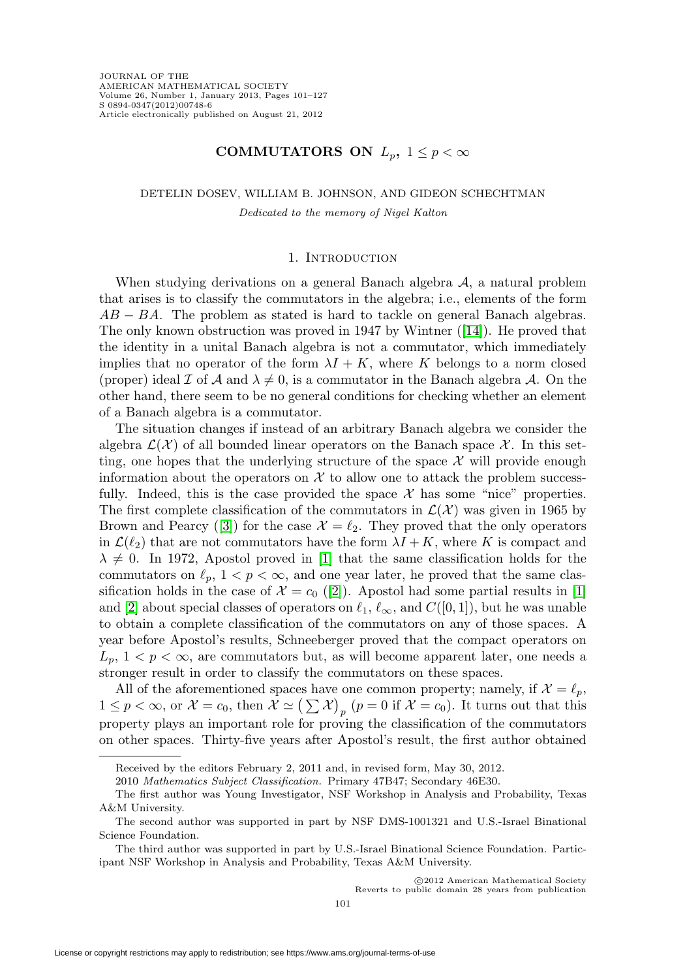## **COMMUTATORS ON**  $L_p$ ,  $1 \leq p < \infty$

DETELIN DOSEV, WILLIAM B. JOHNSON, AND GIDEON SCHECHTMAN

Dedicated to the memory of Nigel Kalton

#### 1. INTRODUCTION

When studying derivations on a general Banach algebra  $A$ , a natural problem that arises is to classify the commutators in the algebra; i.e., elements of the form  $AB - BA$ . The problem as stated is hard to tackle on general Banach algebras. The only known obstruction was proved in 1947 by Wintner ([\[14\]](#page-26-0)). He proved that the identity in a unital Banach algebra is not a commutator, which immediately implies that no operator of the form  $\lambda I + K$ , where K belongs to a norm closed (proper) ideal I of A and  $\lambda \neq 0$ , is a commutator in the Banach algebra A. On the other hand, there seem to be no general conditions for checking whether an element of a Banach algebra is a commutator.

The situation changes if instead of an arbitrary Banach algebra we consider the algebra  $\mathcal{L}(\mathcal{X})$  of all bounded linear operators on the Banach space X. In this setting, one hopes that the underlying structure of the space  $\mathcal X$  will provide enough information about the operators on  $\mathcal X$  to allow one to attack the problem successfully. Indeed, this is the case provided the space  $\mathcal X$  has some "nice" properties. The first complete classification of the commutators in  $\mathcal{L}(\mathcal{X})$  was given in 1965 by Brown and Pearcy ([\[3\]](#page-25-0)) for the case  $\mathcal{X} = \ell_2$ . They proved that the only operators in  $\mathcal{L}(\ell_2)$  that are not commutators have the form  $\lambda I + K$ , where K is compact and  $\lambda \neq 0$ . In 1972, Apostol proved in [\[1\]](#page-25-1) that the same classification holds for the commutators on  $\ell_p$ ,  $1 < p < \infty$ , and one year later, he proved that the same classification holds in the case of  $\mathcal{X} = c_0$  ([\[2\]](#page-25-2)). Apostol had some partial results in [\[1\]](#page-25-1) and [\[2\]](#page-25-2) about special classes of operators on  $\ell_1, \ell_\infty$ , and  $C([0, 1])$ , but he was unable to obtain a complete classification of the commutators on any of those spaces. A year before Apostol's results, Schneeberger proved that the compact operators on  $L_p$ ,  $1 < p < \infty$ , are commutators but, as will become apparent later, one needs a stronger result in order to classify the commutators on these spaces.

All of the aforementioned spaces have one common property; namely, if  $\mathcal{X} = \ell_p$ ,  $1 \leq p < \infty$ , or  $\mathcal{X} = c_0$ , then  $\mathcal{X} \simeq (\sum \mathcal{X})_p$   $(p = 0$  if  $\mathcal{X} = c_0)$ . It turns out that this property plays an important role for proving the classification of the commutators on other spaces. Thirty-five years after Apostol's result, the first author obtained

Received by the editors February 2, 2011 and, in revised form, May 30, 2012.

<sup>2010</sup> Mathematics Subject Classification. Primary 47B47; Secondary 46E30.

The first author was Young Investigator, NSF Workshop in Analysis and Probability, Texas A&M University.

The second author was supported in part by NSF DMS-1001321 and U.S.-Israel Binational Science Foundation.

The third author was supported in part by U.S.-Israel Binational Science Foundation. Participant NSF Workshop in Analysis and Probability, Texas A&M University.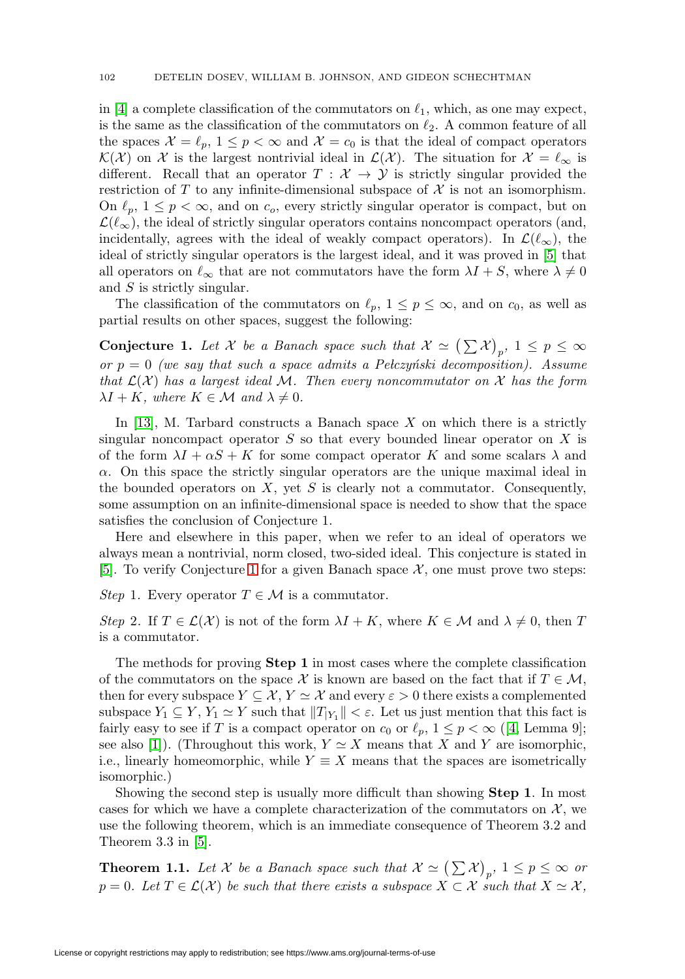in [\[4\]](#page-25-3) a complete classification of the commutators on  $\ell_1$ , which, as one may expect, is the same as the classification of the commutators on  $\ell_2$ . A common feature of all the spaces  $\mathcal{X} = \ell_p, 1 \leq p < \infty$  and  $\mathcal{X} = \ell_0$  is that the ideal of compact operators  $\mathcal{K}(\mathcal{X})$  on X is the largest nontrivial ideal in  $\mathcal{L}(\mathcal{X})$ . The situation for  $\mathcal{X} = \ell_{\infty}$  is different. Recall that an operator  $T : \mathcal{X} \to \mathcal{Y}$  is strictly singular provided the restriction of T to any infinite-dimensional subspace of  $\mathcal X$  is not an isomorphism. On  $\ell_p$ ,  $1 \leq p < \infty$ , and on  $c_o$ , every strictly singular operator is compact, but on  $\mathcal{L}(\ell_{\infty})$ , the ideal of strictly singular operators contains noncompact operators (and, incidentally, agrees with the ideal of weakly compact operators). In  $\mathcal{L}(\ell_{\infty})$ , the ideal of strictly singular operators is the largest ideal, and it was proved in [\[5\]](#page-25-4) that all operators on  $\ell_{\infty}$  that are not commutators have the form  $\lambda I + S$ , where  $\lambda \neq 0$ and S is strictly singular.

The classification of the commutators on  $\ell_p$ ,  $1 \leq p \leq \infty$ , and on  $c_0$ , as well as partial results on other spaces, suggest the following:

<span id="page-1-0"></span>**Conjecture 1.** Let X be a Banach space such that  $X \simeq (\sum X)_{p}$ ,  $1 \leq p \leq \infty$ or  $p = 0$  (we say that such a space admits a Pelczyński decomposition). Assume that  $\mathcal{L}(\mathcal{X})$  has a largest ideal M. Then every noncommutator on X has the form  $\lambda I + K$ , where  $K \in \mathcal{M}$  and  $\lambda \neq 0$ .

In [\[13\]](#page-26-1), M. Tarbard constructs a Banach space X on which there is a strictly singular noncompact operator  $S$  so that every bounded linear operator on  $X$  is of the form  $\lambda I + \alpha S + K$  for some compact operator K and some scalars  $\lambda$  and  $\alpha$ . On this space the strictly singular operators are the unique maximal ideal in the bounded operators on  $X$ , yet  $S$  is clearly not a commutator. Consequently, some assumption on an infinite-dimensional space is needed to show that the space satisfies the conclusion of Conjecture 1.

Here and elsewhere in this paper, when we refer to an ideal of operators we always mean a nontrivial, norm closed, two-sided ideal. This conjecture is stated in [\[5\]](#page-25-4). To verify Conjecture [1](#page-1-0) for a given Banach space  $\mathcal{X}$ , one must prove two steps:

Step 1. Every operator  $T \in \mathcal{M}$  is a commutator.

Step 2. If  $T \in \mathcal{L}(\mathcal{X})$  is not of the form  $\lambda I + K$ , where  $K \in \mathcal{M}$  and  $\lambda \neq 0$ , then T is a commutator.

The methods for proving **Step 1** in most cases where the complete classification of the commutators on the space X is known are based on the fact that if  $T \in \mathcal{M}$ , then for every subspace  $Y \subseteq \mathcal{X}, Y \simeq \mathcal{X}$  and every  $\varepsilon > 0$  there exists a complemented subspace  $Y_1 \subseteq Y$ ,  $Y_1 \simeq Y$  such that  $||T_{|Y_1}|| < \varepsilon$ . Let us just mention that this fact is fairly easy to see if T is a compact operator on  $c_0$  or  $\ell_p$ ,  $1 \leq p < \infty$  ([\[4,](#page-25-3) Lemma 9]; see also [\[1\]](#page-25-1)). (Throughout this work,  $Y \simeq X$  means that X and Y are isomorphic, i.e., linearly homeomorphic, while  $Y \equiv X$  means that the spaces are isometrically isomorphic.)

Showing the second step is usually more difficult than showing **Step 1**. In most cases for which we have a complete characterization of the commutators on  $\mathcal{X}$ , we use the following theorem, which is an immediate consequence of Theorem 3.2 and Theorem 3.3 in [\[5\]](#page-25-4).

<span id="page-1-1"></span>**Theorem 1.1.** Let X be a Banach space such that  $X \simeq (\sum X)_p$ ,  $1 \le p \le \infty$  or  $p = 0$ . Let  $T \in \mathcal{L}(\mathcal{X})$  be such that there exists a subspace  $X \subset \mathcal{X}$  such that  $X \simeq \mathcal{X}$ ,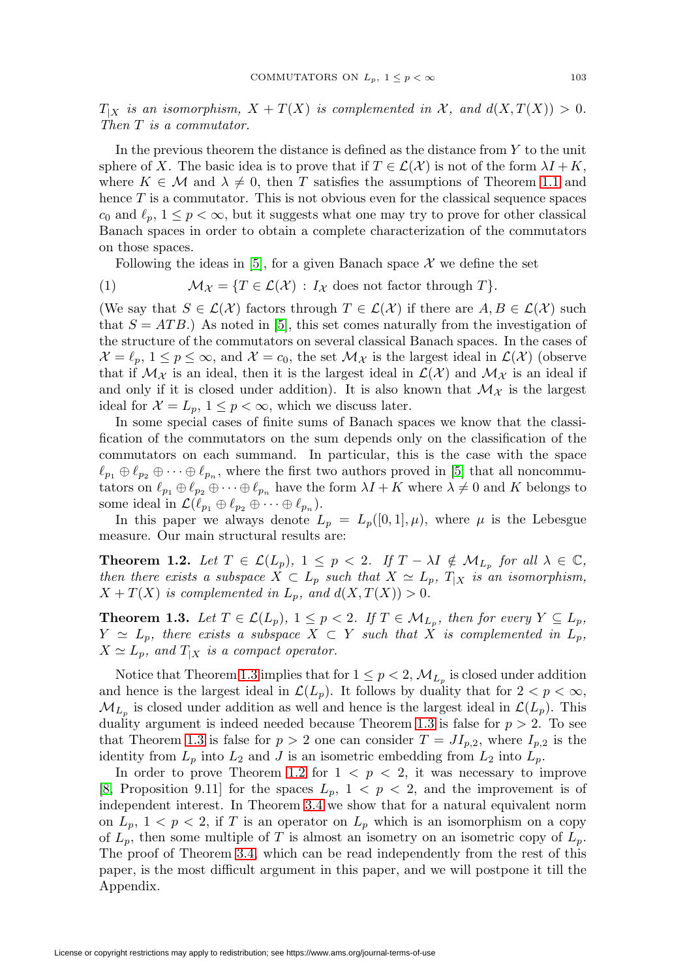$T_{|X}$  is an isomorphism,  $X + T(X)$  is complemented in X, and  $d(X,T(X)) > 0$ . Then T is a commutator.

In the previous theorem the distance is defined as the distance from Y to the unit sphere of X. The basic idea is to prove that if  $T \in \mathcal{L}(\mathcal{X})$  is not of the form  $\lambda I + K$ , where  $K \in \mathcal{M}$  and  $\lambda \neq 0$ , then T satisfies the assumptions of Theorem [1.1](#page-1-1) and hence  $T$  is a commutator. This is not obvious even for the classical sequence spaces  $c_0$  and  $\ell_p$ ,  $1 \leq p < \infty$ , but it suggests what one may try to prove for other classical Banach spaces in order to obtain a complete characterization of the commutators on those spaces.

Following the ideas in [\[5\]](#page-25-4), for a given Banach space  $\mathcal X$  we define the set

<span id="page-2-2"></span>(1) 
$$
\mathcal{M}_{\mathcal{X}} = \{ T \in \mathcal{L}(\mathcal{X}) : I_{\mathcal{X}} \text{ does not factor through } T \}.
$$

(We say that  $S \in \mathcal{L}(\mathcal{X})$  factors through  $T \in \mathcal{L}(\mathcal{X})$  if there are  $A, B \in \mathcal{L}(\mathcal{X})$  such that  $S = ATB$ .) As noted in [\[5\]](#page-25-4), this set comes naturally from the investigation of the structure of the commutators on several classical Banach spaces. In the cases of  $\mathcal{X} = \ell_p, 1 \leq p \leq \infty$ , and  $\mathcal{X} = c_0$ , the set  $\mathcal{M}_{\mathcal{X}}$  is the largest ideal in  $\mathcal{L}(\mathcal{X})$  (observe that if  $\mathcal{M}_{\mathcal{X}}$  is an ideal, then it is the largest ideal in  $\mathcal{L}(\mathcal{X})$  and  $\mathcal{M}_{\mathcal{X}}$  is an ideal if and only if it is closed under addition). It is also known that  $\mathcal{M}_{\mathcal{X}}$  is the largest ideal for  $\mathcal{X} = L_p, 1 \leq p < \infty$ , which we discuss later.

In some special cases of finite sums of Banach spaces we know that the classification of the commutators on the sum depends only on the classification of the commutators on each summand. In particular, this is the case with the space  $\ell_{p_1} \oplus \ell_{p_2} \oplus \cdots \oplus \ell_{p_n}$ , where the first two authors proved in [\[5\]](#page-25-4) that all noncommutators on  $\ell_{p_1} \oplus \ell_{p_2} \oplus \cdots \oplus \ell_{p_n}$  have the form  $\lambda I + K$  where  $\lambda \neq 0$  and K belongs to some ideal in  $\mathcal{L}(\ell_{p_1} \oplus \ell_{p_2} \oplus \cdots \oplus \ell_{p_n}).$ 

In this paper we always denote  $L_p = L_p([0,1], \mu)$ , where  $\mu$  is the Lebesgue measure. Our main structural results are:

<span id="page-2-1"></span>**Theorem 1.2.** Let  $T \in \mathcal{L}(L_p)$ ,  $1 \leq p < 2$ . If  $T - \lambda I \notin \mathcal{M}_{L_p}$  for all  $\lambda \in \mathbb{C}$ , then there exists a subspace  $X \subset L_p$  such that  $X \simeq L_p$ ,  $T_{|X}$  is an isomorphism,  $X + T(X)$  is complemented in  $L_p$ , and  $d(X, T(X)) > 0$ .

<span id="page-2-0"></span>**Theorem 1.3.** Let  $T \in \mathcal{L}(L_p)$ ,  $1 \leq p < 2$ . If  $T \in \mathcal{M}_{L_p}$ , then for every  $Y \subseteq L_p$ ,  $Y \simeq L_p$ , there exists a subspace  $X \subset Y$  such that X is complemented in  $L_p$ ,  $X \simeq L_p$ , and  $T_{|X}$  is a compact operator.

Notice that Theorem [1.3](#page-2-0) implies that for  $1 \leq p < 2$ ,  $\mathcal{M}_{L_p}$  is closed under addition and hence is the largest ideal in  $\mathcal{L}(L_p)$ . It follows by duality that for  $2 < p < \infty$ ,  $\mathcal{M}_{L_p}$  is closed under addition as well and hence is the largest ideal in  $\mathcal{L}(L_p)$ . This duality argument is indeed needed because Theorem [1.3](#page-2-0) is false for  $p > 2$ . To see that Theorem [1.3](#page-2-0) is false for  $p > 2$  one can consider  $T = J I_{p,2}$ , where  $I_{p,2}$  is the identity from  $L_p$  into  $L_2$  and J is an isometric embedding from  $L_2$  into  $L_p$ .

In order to prove Theorem [1.2](#page-2-1) for  $1 < p < 2$ , it was necessary to improve [\[8,](#page-26-2) Proposition 9.11] for the spaces  $L_p$ ,  $1 < p < 2$ , and the improvement is of independent interest. In Theorem [3.4](#page-6-0) we show that for a natural equivalent norm on  $L_p$ ,  $1 < p < 2$ , if T is an operator on  $L_p$  which is an isomorphism on a copy of  $L_p$ , then some multiple of T is almost an isometry on an isometric copy of  $L_p$ . The proof of Theorem [3.4,](#page-6-0) which can be read independently from the rest of this paper, is the most difficult argument in this paper, and we will postpone it till the Appendix.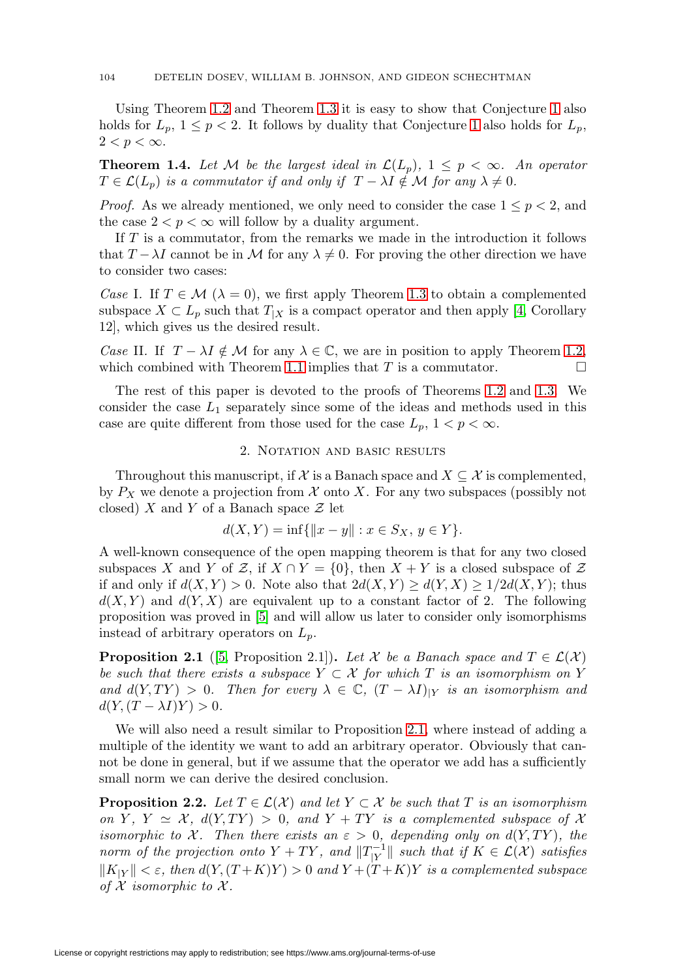Using Theorem [1.2](#page-2-1) and Theorem [1.3](#page-2-0) it is easy to show that Conjecture [1](#page-1-0) also holds for  $L_p$ ,  $1 \leq p < 2$ . It follows by duality that Conjecture [1](#page-1-0) also holds for  $L_p$ ,  $2 < p < \infty$ .

**Theorem 1.4.** Let M be the largest ideal in  $\mathcal{L}(L_n)$ ,  $1 \leq p \leq \infty$ . An operator  $T \in \mathcal{L}(L_p)$  is a commutator if and only if  $T - \lambda I \notin \mathcal{M}$  for any  $\lambda \neq 0$ .

*Proof.* As we already mentioned, we only need to consider the case  $1 \leq p < 2$ , and the case  $2 < p < \infty$  will follow by a duality argument.

If T is a commutator, from the remarks we made in the introduction it follows that  $T - \lambda I$  cannot be in M for any  $\lambda \neq 0$ . For proving the other direction we have to consider two cases:

Case I. If  $T \in \mathcal{M}$  ( $\lambda = 0$ ), we first apply Theorem [1.3](#page-2-0) to obtain a complemented subspace  $X \subset L_p$  such that  $T_{|X}$  is a compact operator and then apply [\[4,](#page-25-3) Corollary 12], which gives us the desired result.

Case II. If  $T - \lambda I \notin \mathcal{M}$  for any  $\lambda \in \mathbb{C}$ , we are in position to apply Theorem [1.2,](#page-2-1) which combined with Theorem [1.1](#page-1-1) implies that T is a commutator.  $\Box$ 

The rest of this paper is devoted to the proofs of Theorems [1.2](#page-2-1) and [1.3.](#page-2-0) We consider the case  $L_1$  separately since some of the ideas and methods used in this case are quite different from those used for the case  $L_p$ ,  $1 < p < \infty$ .

### 2. NOTATION AND BASIC RESULTS

Throughout this manuscript, if X is a Banach space and  $X \subseteq \mathcal{X}$  is complemented, by  $P_X$  we denote a projection from X onto X. For any two subspaces (possibly not closed) X and Y of a Banach space  $\mathcal Z$  let

$$
d(X,Y) = \inf \{ ||x - y|| : x \in S_X, y \in Y \}.
$$

A well-known consequence of the open mapping theorem is that for any two closed subspaces X and Y of Z, if  $X \cap Y = \{0\}$ , then  $X + Y$  is a closed subspace of Z if and only if  $d(X, Y) > 0$ . Note also that  $2d(X, Y) \geq d(Y, X) \geq 1/2d(X, Y)$ ; thus  $d(X, Y)$  and  $d(Y, X)$  are equivalent up to a constant factor of 2. The following proposition was proved in [\[5\]](#page-25-4) and will allow us later to consider only isomorphisms instead of arbitrary operators on  $L_p$ .

<span id="page-3-0"></span>**Proposition 2.1** ([\[5,](#page-25-4) Proposition 2.1])**.** Let X be a Banach space and  $T \in \mathcal{L}(\mathcal{X})$ be such that there exists a subspace  $Y \subset \mathcal{X}$  for which T is an isomorphism on Y and  $d(Y, TY) > 0$ . Then for every  $\lambda \in \mathbb{C}$ ,  $(T - \lambda I)_{|Y}$  is an isomorphism and  $d(Y,(T-\lambda I)Y)>0.$ 

We will also need a result similar to Proposition [2.1,](#page-3-0) where instead of adding a multiple of the identity we want to add an arbitrary operator. Obviously that cannot be done in general, but if we assume that the operator we add has a sufficiently small norm we can derive the desired conclusion.

<span id="page-3-1"></span>**Proposition 2.2.** Let  $T \in \mathcal{L}(\mathcal{X})$  and let  $Y \subset \mathcal{X}$  be such that T is an isomorphism on Y, Y  $\cong$  X,  $d(Y, TY) > 0$ , and Y + TY is a complemented subspace of X isomorphic to X. Then there exists an  $\varepsilon > 0$ , depending only on  $d(Y, TY)$ , the norm of the projection onto  $Y + TY$ , and  $||T_{|Y}^{-1}||$  such that if  $K \in \mathcal{L}(\mathcal{X})$  satisfies  $||K_{|Y}|| < \varepsilon$ , then  $d(Y,(T+K)Y) > 0$  and  $Y+(T+K)Y$  is a complemented subspace of  $X$  isomorphic to  $X$ .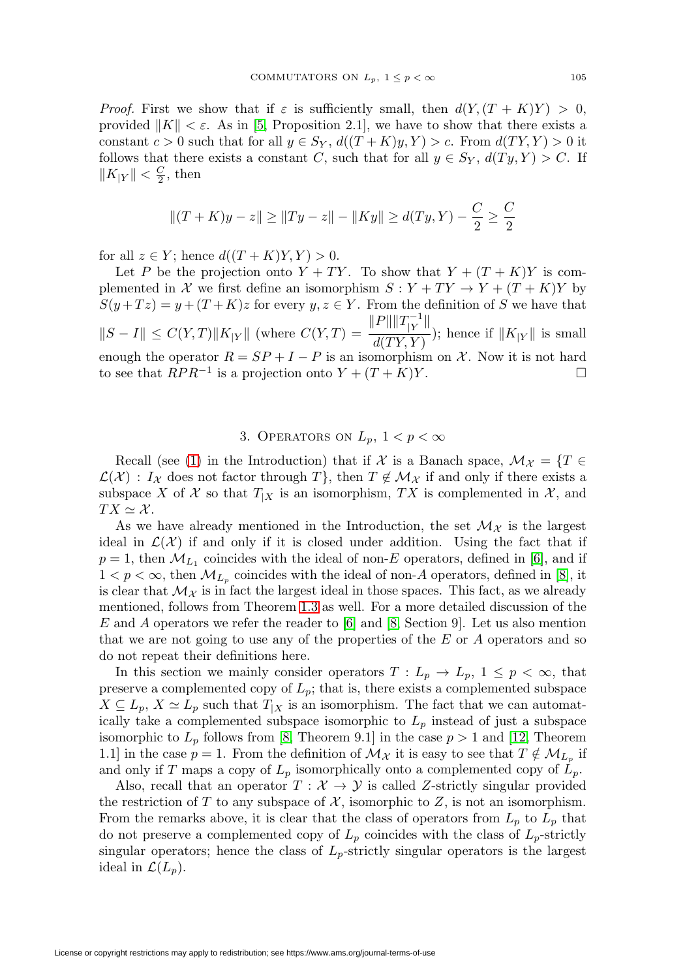*Proof.* First we show that if  $\varepsilon$  is sufficiently small, then  $d(Y,(T + K)Y) > 0$ , provided  $||K|| < \varepsilon$ . As in [\[5,](#page-25-4) Proposition 2.1], we have to show that there exists a constant  $c > 0$  such that for all  $y \in S_Y$ ,  $d((T + K)y, Y) > c$ . From  $d(TY, Y) > 0$  it follows that there exists a constant C, such that for all  $y \in S_Y$ ,  $d(Ty, Y) > C$ . If  $||K_{|Y}|| < \frac{C}{2}$ , then

$$
||(T+K)y-z|| \ge ||Ty-z|| - ||Ky|| \ge d(Ty,Y) - \frac{C}{2} \ge \frac{C}{2}
$$

for all  $z \in Y$ ; hence  $d((T + K)Y, Y) > 0$ .

Let P be the projection onto  $Y + TY$ . To show that  $Y + (T + K)Y$  is complemented in X we first define an isomorphism  $S: Y + TY \to Y + (T + K)Y$  by  $S(y+Tz) = y+(T+K)z$  for every  $y, z \in Y$ . From the definition of S we have that  $||S - I|| \leq C(Y,T) ||K_{|Y}||$  (where  $C(Y,T) = \frac{||P|| ||T_{|Y}^{-1}||}{d(TY, Y)}$  $\frac{d(TY,Y)}{d(TY,Y)}$ ; hence if  $||K_{|Y}||$  is small enough the operator  $R = SP + I - P$  is an isomorphism on X. Now it is not hard to see that  $RPR^{-1}$  is a projection onto  $Y + (T + K)Y$ .

# 3. OPERATORS ON  $L_p$ ,  $1 < p < \infty$

Recall (see [\(1\)](#page-2-2) in the Introduction) that if X is a Banach space,  $\mathcal{M}_\mathcal{X} = \{T \in$  $\mathcal{L}(\mathcal{X})$ :  $I_{\mathcal{X}}$  does not factor through T, then  $T \notin \mathcal{M}_{\mathcal{X}}$  if and only if there exists a subspace X of X so that  $T_{X}$  is an isomorphism, TX is complemented in X, and  $TX \simeq \mathcal{X}.$ 

As we have already mentioned in the Introduction, the set  $\mathcal{M}_{\mathcal{X}}$  is the largest ideal in  $\mathcal{L}(\mathcal{X})$  if and only if it is closed under addition. Using the fact that if  $p = 1$ , then  $\mathcal{M}_{L_1}$  coincides with the ideal of non-E operators, defined in [\[6\]](#page-25-5), and if  $1 < p < \infty$ , then  $\mathcal{M}_{L_p}$  coincides with the ideal of non-A operators, defined in [\[8\]](#page-26-2), it is clear that  $\mathcal{M}_{\mathcal{X}}$  is in fact the largest ideal in those spaces. This fact, as we already mentioned, follows from Theorem [1.3](#page-2-0) as well. For a more detailed discussion of the E and A operators we refer the reader to  $|6|$  and  $|8$ , Section 9. Let us also mention that we are not going to use any of the properties of the E or A operators and so do not repeat their definitions here.

In this section we mainly consider operators  $T: L_p \to L_p$ ,  $1 \leq p < \infty$ , that preserve a complemented copy of  $L_p$ ; that is, there exists a complemented subspace  $X \subseteq L_p$ ,  $X \simeq L_p$  such that  $T_{|X}$  is an isomorphism. The fact that we can automatically take a complemented subspace isomorphic to  $L_p$  instead of just a subspace isomorphic to  $L_p$  follows from [\[8,](#page-26-2) Theorem 9.1] in the case  $p > 1$  and [\[12,](#page-26-3) Theorem 1.1] in the case  $p = 1$ . From the definition of  $\mathcal{M}_{\mathcal{X}}$  it is easy to see that  $T \notin \mathcal{M}_{L_p}$  if and only if T maps a copy of  $L_p$  isomorphically onto a complemented copy of  $L_p$ .

Also, recall that an operator  $T : \mathcal{X} \to \mathcal{Y}$  is called Z-strictly singular provided the restriction of T to any subspace of  $\mathcal{X}$ , isomorphic to Z, is not an isomorphism. From the remarks above, it is clear that the class of operators from  $L_p$  to  $L_p$  that do not preserve a complemented copy of  $L_p$  coincides with the class of  $L_p$ -strictly singular operators; hence the class of  $L_p$ -strictly singular operators is the largest ideal in  $\mathcal{L}(L_p)$ .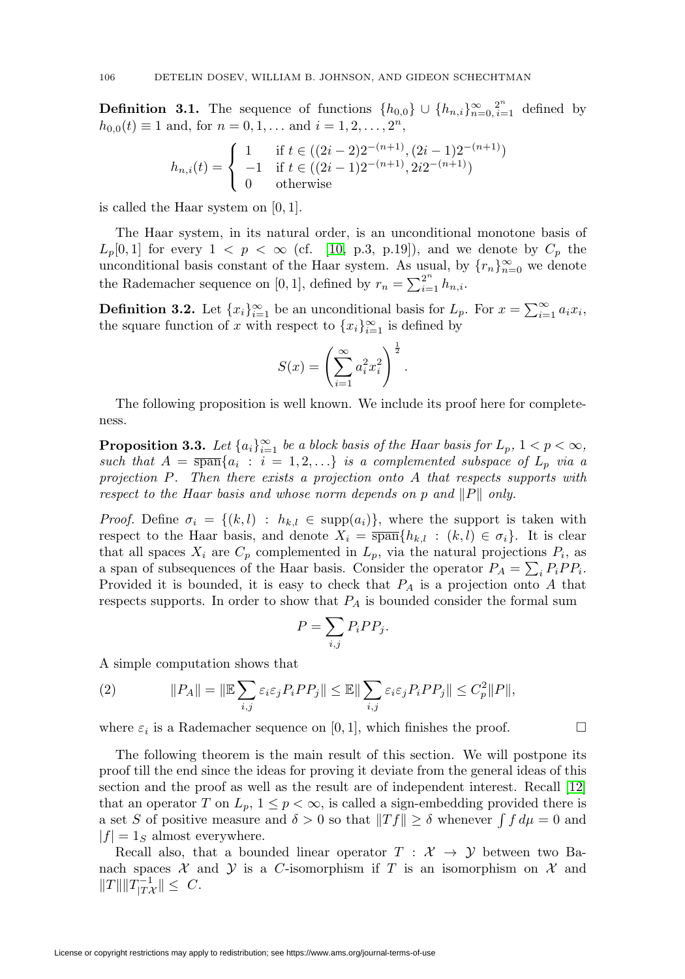**Definition 3.1.** The sequence of functions  $\{h_{0,0}\}\cup \{h_{n,i}\}_{n=0,\,i=1}^{\infty}$  defined by  $h_{0,0}(t) \equiv 1$  and, for  $n = 0, 1, \ldots$  and  $i = 1, 2, \ldots, 2<sup>n</sup>$ ,

$$
h_{n,i}(t) = \begin{cases} 1 & \text{if } t \in ((2i - 2)2^{-(n+1)}, (2i - 1)2^{-(n+1)}) \\ -1 & \text{if } t \in ((2i - 1)2^{-(n+1)}, 2i2^{-(n+1)}) \\ 0 & \text{otherwise} \end{cases}
$$

is called the Haar system on [0, 1].

The Haar system, in its natural order, is an unconditional monotone basis of  $L_p[0,1]$  for every  $1 \leq p \leq \infty$  (cf. [\[10,](#page-26-4) p.3, p.19]), and we denote by  $C_p$  the unconditional basis constant of the Haar system. As usual, by  $\{r_n\}_{n=0}^{\infty}$  we denote the Rademacher sequence on [0, 1], defined by  $r_n = \sum_{i=1}^{2^n} h_{n,i}$ .

<span id="page-5-1"></span>**Definition 3.2.** Let  $\{x_i\}_{i=1}^{\infty}$  be an unconditional basis for  $L_p$ . For  $x = \sum_{i=1}^{\infty} a_i x_i$ , the square function of x with respect to  ${x_i}_{i=1}^{\infty}$  is defined by

$$
S(x) = \left(\sum_{i=1}^{\infty} a_i^2 x_i^2\right)^{\frac{1}{2}}.
$$

The following proposition is well known. We include its proof here for completeness.

<span id="page-5-0"></span>**Proposition 3.3.** Let  $\{a_i\}_{i=1}^{\infty}$  be a block basis of the Haar basis for  $L_p$ ,  $1 < p < \infty$ , such that  $A = \overline{\text{span}}\{a_i : i = 1, 2, \ldots\}$  is a complemented subspace of  $L_p$  via a projection P. Then there exists a projection onto A that respects supports with respect to the Haar basis and whose norm depends on p and  $||P||$  only.

*Proof.* Define  $\sigma_i = \{(k,l) : h_{k,l} \in \text{supp}(a_i)\}\$ , where the support is taken with respect to the Haar basis, and denote  $X_i = \overline{\text{span}}\{h_{k,l} : (k,l) \in \sigma_i\}$ . It is clear that all spaces  $X_i$  are  $C_p$  complemented in  $L_p$ , via the natural projections  $P_i$ , as a span of subsequences of the Haar basis. Consider the operator  $P_A = \sum_i P_i P P_i$ . Provided it is bounded, it is easy to check that  $P_A$  is a projection onto A that respects supports. In order to show that  $P_A$  is bounded consider the formal sum

$$
P = \sum_{i,j} P_i P P_j.
$$

A simple computation shows that

(2) 
$$
||P_A|| = ||\mathbb{E}\sum_{i,j}\varepsilon_i\varepsilon_j P_i P P_j|| \leq \mathbb{E}||\sum_{i,j}\varepsilon_i\varepsilon_j P_i P P_j|| \leq C_p^2 ||P||,
$$

where  $\varepsilon_i$  is a Rademacher sequence on [0, 1], which finishes the proof.  $\Box$ 

The following theorem is the main result of this section. We will postpone its proof till the end since the ideas for proving it deviate from the general ideas of this section and the proof as well as the result are of independent interest. Recall [\[12\]](#page-26-3) that an operator T on  $L_p$ ,  $1 \leq p < \infty$ , is called a sign-embedding provided there is a set S of positive measure and  $\delta > 0$  so that  $||Tf|| \geq \delta$  whenever  $\int f d\mu = 0$  and  $|f| = 1_S$  almost everywhere.

Recall also, that a bounded linear operator  $T : \mathcal{X} \to \mathcal{Y}$  between two Banach spaces  $\mathcal X$  and  $\mathcal Y$  is a C-isomorphism if T is an isomorphism on  $\mathcal X$  and  $||T|| ||T_{|T\mathcal{X}}^{-1}|| \leq C.$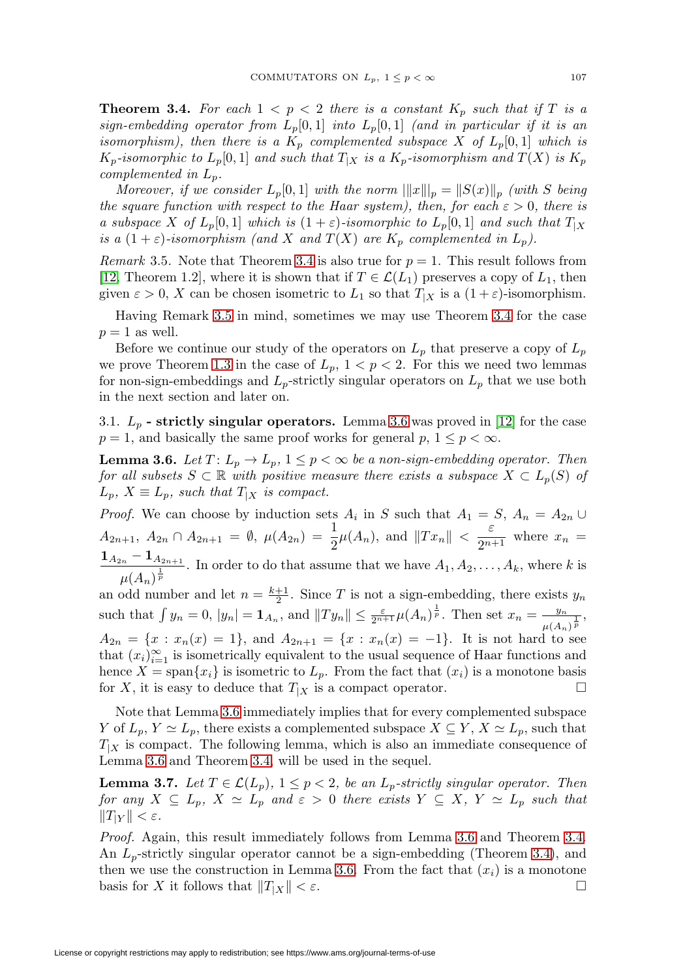<span id="page-6-0"></span>**Theorem 3.4.** For each  $1 < p < 2$  there is a constant  $K_p$  such that if T is a sign-embedding operator from  $L_p[0,1]$  into  $L_p[0,1]$  (and in particular if it is an isomorphism), then there is a  $K_p$  complemented subspace X of  $L_p[0,1]$  which is  $K_p$ -isomorphic to  $L_p[0,1]$  and such that  $T_{|X}$  is a  $K_p$ -isomorphism and  $T(X)$  is  $K_p$ complemented in  $L_p$ .

Moreover, if we consider  $L_p[0,1]$  with the norm  $\| \|x\|_p = \|S(x)\|_p$  (with S being the square function with respect to the Haar system), then, for each  $\varepsilon > 0$ , there is a subspace X of  $L_p[0,1]$  which is  $(1+\varepsilon)$ -isomorphic to  $L_p[0,1]$  and such that  $T_{|X}$ is a  $(1+\varepsilon)$ -isomorphism (and X and  $T(X)$  are  $K_p$  complemented in  $L_p$ ).

<span id="page-6-1"></span>*Remark* 3.5. Note that Theorem [3.4](#page-6-0) is also true for  $p = 1$ . This result follows from [\[12,](#page-26-3) Theorem 1.2], where it is shown that if  $T \in \mathcal{L}(L_1)$  preserves a copy of  $L_1$ , then given  $\varepsilon > 0$ , X can be chosen isometric to  $L_1$  so that  $T_{|X}$  is a  $(1 + \varepsilon)$ -isomorphism.

Having Remark [3.5](#page-6-1) in mind, sometimes we may use Theorem [3.4](#page-6-0) for the case  $p = 1$  as well.

Before we continue our study of the operators on  $L_p$  that preserve a copy of  $L_p$ we prove Theorem [1.3](#page-2-0) in the case of  $L_p$ ,  $1 < p < 2$ . For this we need two lemmas for non-sign-embeddings and  $L_p$ -strictly singular operators on  $L_p$  that we use both in the next section and later on.

3.1.  $L_p$  **- strictly singular operators.** Lemma [3.6](#page-6-2) was proved in [\[12\]](#page-26-3) for the case  $p = 1$ , and basically the same proof works for general p,  $1 \leq p < \infty$ .

<span id="page-6-2"></span>**Lemma 3.6.** Let  $T: L_p \to L_p$ ,  $1 \leq p < \infty$  be a non-sign-embedding operator. Then for all subsets  $S \subset \mathbb{R}$  with positive measure there exists a subspace  $X \subset L_p(S)$  of  $L_p$ ,  $X \equiv L_p$ , such that  $T_{|X}$  is compact.

*Proof.* We can choose by induction sets  $A_i$  in S such that  $A_1 = S$ ,  $A_n = A_{2n} \cup$  $A_{2n+1}, A_{2n} \cap A_{2n+1} = \emptyset, \ \mu(A_{2n}) = \frac{1}{2}\mu(A_n), \text{ and } ||Tx_n|| < \frac{\varepsilon}{2^{n+1}} \text{ where } x_n =$  $1_{A_{2n}} - 1_{A_{2n+1}}$  $\frac{1}{\mu(A_n)^{\frac{1}{p}}}$ . In order to do that assume that we have  $A_1, A_2, \ldots, A_k$ , where k is an odd number and let  $n = \frac{k+1}{2}$ . Since T is not a sign-embedding, there exists  $y_n$ such that  $\int y_n = 0$ ,  $|y_n| = \mathbf{1}_{A_n}$ , and  $||Ty_n|| \leq \frac{\varepsilon}{2^{n+1}} \mu(A_n)^{\frac{1}{p}}$ . Then set  $x_n = \frac{y_n}{\mu(A_n)^{\frac{1}{p}}}$ ,  $A_{2n} = \{x : x_n(x) = 1\}$ , and  $A_{2n+1} = \{x : x_n(x) = -1\}$ . It is not hard to see that  $(x_i)_{i=1}^{\infty}$  is isometrically equivalent to the usual sequence of Haar functions and hence  $X = \text{span}\{x_i\}$  is isometric to  $L_p$ . From the fact that  $(x_i)$  is a monotone basis for X, it is easy to deduce that  $T_{X}$  is a compact operator.  $\Box$ 

Note that Lemma [3.6](#page-6-2) immediately implies that for every complemented subspace Y of  $L_p$ ,  $Y \simeq L_p$ , there exists a complemented subspace  $X \subseteq Y$ ,  $X \simeq L_p$ , such that  $T_{|X}$  is compact. The following lemma, which is also an immediate consequence of Lemma [3.6](#page-6-2) and Theorem [3.4,](#page-6-0) will be used in the sequel.

<span id="page-6-3"></span>**Lemma 3.7.** Let  $T \in \mathcal{L}(L_p)$ ,  $1 \leq p < 2$ , be an  $L_p$ -strictly singular operator. Then for any  $X \subseteq L_p$ ,  $X \simeq L_p$  and  $\varepsilon > 0$  there exists  $Y \subseteq X$ ,  $Y \simeq L_p$  such that  $||T_{|Y}|| < \varepsilon$ .

Proof. Again, this result immediately follows from Lemma [3.6](#page-6-2) and Theorem [3.4.](#page-6-0) An  $L_p$ -strictly singular operator cannot be a sign-embedding (Theorem [3.4\)](#page-6-0), and then we use the construction in Lemma [3.6.](#page-6-2) From the fact that  $(x_i)$  is a monotone basis for X it follows that  $||T_{X}|| < \varepsilon$ .  $\Box$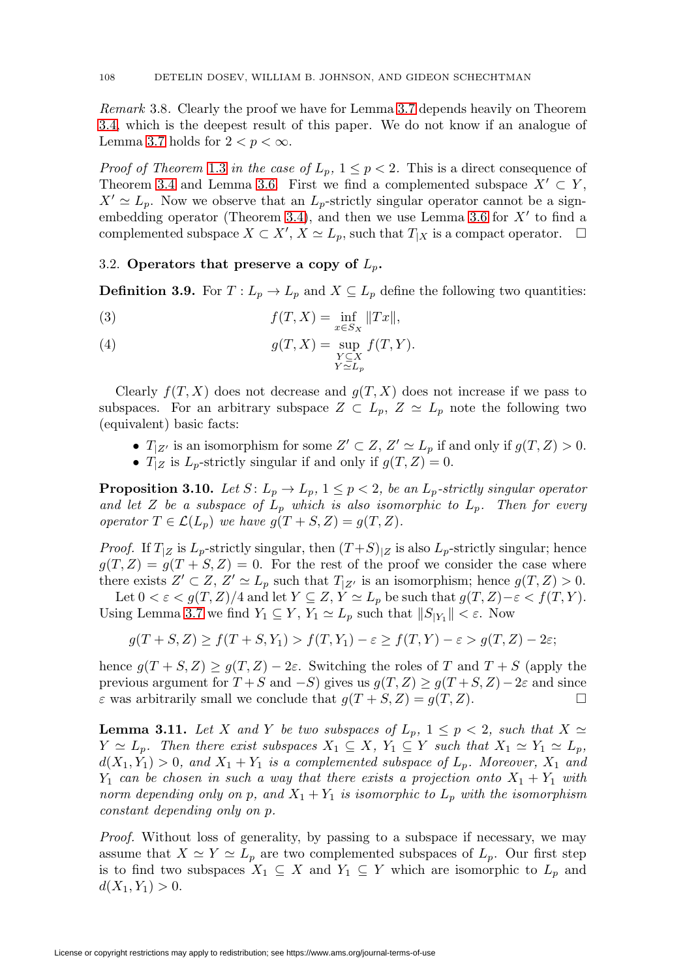Remark 3.8. Clearly the proof we have for Lemma [3.7](#page-6-3) depends heavily on Theorem [3.4,](#page-6-0) which is the deepest result of this paper. We do not know if an analogue of Lemma [3.7](#page-6-3) holds for  $2 < p < \infty$ .

*Proof of Theorem [1.3](#page-2-0) in the case of*  $L_p$ ,  $1 \leq p < 2$ . This is a direct consequence of Theorem [3.4](#page-6-0) and Lemma [3.6.](#page-6-2) First we find a complemented subspace  $X' \subset Y$ ,  $X' \simeq L_p$ . Now we observe that an  $L_p$ -strictly singular operator cannot be a sign-embedding operator (Theorem [3.4\)](#page-6-0), and then we use Lemma [3.6](#page-6-2) for  $X'$  to find a complemented subspace  $X \subset X'$ ,  $X \simeq L_p$ , such that  $T_{|X}$  is a compact operator.  $\Box$ 

## 3.2. **Operators that preserve a copy of**  $L_p$ .

**Definition 3.9.** For  $T: L_p \to L_p$  and  $X \subseteq L_p$  define the following two quantities:

(3)  $f(T, X) = \inf_{x \in S_X} ||Tx||,$ 

(4) 
$$
g(T, X) = \sup_{\substack{Y \subseteq X \\ Y \simeq L_p}} f(T, Y).
$$

Clearly  $f(T, X)$  does not decrease and  $g(T, X)$  does not increase if we pass to subspaces. For an arbitrary subspace  $Z \subset L_p$ ,  $Z \simeq L_p$  note the following two (equivalent) basic facts:

- $T_{|Z'}$  is an isomorphism for some  $Z' \subset Z$ ,  $Z' \simeq L_p$  if and only if  $g(T, Z) > 0$ .
- $T_{Z}$  is  $L_p$ -strictly singular if and only if  $g(T, Z) = 0$ .

<span id="page-7-1"></span>**Proposition 3.10.** Let  $S: L_p \to L_p$ ,  $1 \leq p < 2$ , be an  $L_p$ -strictly singular operator and let Z be a subspace of  $L_p$  which is also isomorphic to  $L_p$ . Then for every operator  $T \in \mathcal{L}(L_p)$  we have  $g(T + S, Z) = g(T, Z)$ .

*Proof.* If  $T_{|Z}$  is  $L_p$ -strictly singular, then  $(T+S)|_Z$  is also  $L_p$ -strictly singular; hence  $g(T, Z) = g(T + S, Z) = 0$ . For the rest of the proof we consider the case where there exists  $Z' \subset Z$ ,  $Z' \simeq L_p$  such that  $T_{|Z'}$  is an isomorphism; hence  $g(T, Z) > 0$ .

Let  $0 < \varepsilon < g(T, Z)/4$  and let  $Y \subseteq Z$ ,  $Y \simeq L_p$  be such that  $g(T, Z) - \varepsilon < f(T, Y)$ . Using Lemma [3.7](#page-6-3) we find  $Y_1 \subseteq Y$ ,  $Y_1 \simeq L_p$  such that  $||S_{|Y_1}|| < \varepsilon$ . Now

$$
g(T+S,Z) \ge f(T+S,Y_1) > f(T,Y_1) - \varepsilon \ge f(T,Y) - \varepsilon > g(T,Z) - 2\varepsilon;
$$

hence  $g(T + S, Z) \ge g(T, Z) - 2\varepsilon$ . Switching the roles of T and  $T + S$  (apply the previous argument for  $T + S$  and  $-S$ ) gives us  $g(T, Z) \ge g(T + S, Z) - 2\varepsilon$  and since  $\varepsilon$  was arbitrarily small we conclude that  $g(T + S, Z) = g(T, Z)$ .

<span id="page-7-0"></span>**Lemma 3.11.** Let X and Y be two subspaces of  $L_p$ ,  $1 \leq p < 2$ , such that  $X \simeq$  $Y \simeq L_p$ . Then there exist subspaces  $X_1 \subseteq X$ ,  $Y_1 \subseteq Y$  such that  $X_1 \simeq Y_1 \simeq L_p$ ,  $d(X_1, Y_1) > 0$ , and  $X_1 + Y_1$  is a complemented subspace of  $L_p$ . Moreover,  $X_1$  and  $Y_1$  can be chosen in such a way that there exists a projection onto  $X_1 + Y_1$  with norm depending only on p, and  $X_1 + Y_1$  is isomorphic to  $L_p$  with the isomorphism constant depending only on p.

Proof. Without loss of generality, by passing to a subspace if necessary, we may assume that  $X \simeq Y \simeq L_p$  are two complemented subspaces of  $L_p$ . Our first step is to find two subspaces  $X_1 \subseteq X$  and  $Y_1 \subseteq Y$  which are isomorphic to  $L_p$  and  $d(X_1, Y_1) > 0.$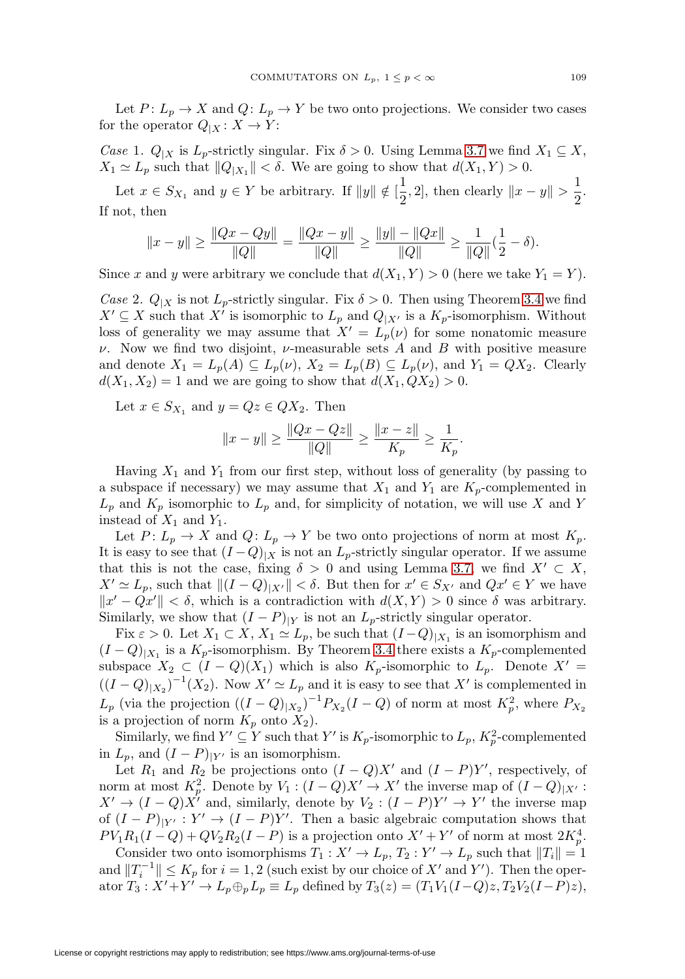Let  $P: L_p \to X$  and  $Q: L_p \to Y$  be two onto projections. We consider two cases for the operator  $Q_{|X}: X \to Y$ :

Case 1.  $Q_{|X}$  is  $L_p$ -strictly singular. Fix  $\delta > 0$ . Using Lemma [3.7](#page-6-3) we find  $X_1 \subseteq X$ ,  $X_1 \simeq L_p$  such that  $||Q_{|X_1}|| < \delta$ . We are going to show that  $d(X_1, Y) > 0$ .

Let  $x \in S_{X_1}$  and  $y \in Y$  be arbitrary. If  $||y|| \notin \left[\frac{1}{2}\right]$  $\frac{1}{2}$ , 2], then clearly  $||x - y|| > \frac{1}{2}$  $\frac{1}{2}$ . If not, then

$$
||x - y|| \ge \frac{||Qx - Qy||}{||Q||} = \frac{||Qx - y||}{||Q||} \ge \frac{||y|| - ||Qx||}{||Q||} \ge \frac{1}{||Q||}(\frac{1}{2} - \delta).
$$

Since x and y were arbitrary we conclude that  $d(X_1, Y) > 0$  (here we take  $Y_1 = Y$ ).

Case 2.  $Q_{|X}$  is not  $L_p$ -strictly singular. Fix  $\delta > 0$ . Then using Theorem [3.4](#page-6-0) we find  $X' \subseteq X$  such that X' is isomorphic to  $L_p$  and  $Q_{|X'}$  is a  $K_p$ -isomorphism. Without loss of generality we may assume that  $X' = L_p(\nu)$  for some nonatomic measure  $\nu$ . Now we find two disjoint,  $\nu$ -measurable sets A and B with positive measure and denote  $X_1 = L_p(A) \subseteq L_p(\nu)$ ,  $X_2 = L_p(B) \subseteq L_p(\nu)$ , and  $Y_1 = QX_2$ . Clearly  $d(X_1, X_2) = 1$  and we are going to show that  $d(X_1, QX_2) > 0$ .

Let  $x \in S_{X_1}$  and  $y = Qz \in QX_2$ . Then

$$
||x - y|| \ge \frac{||Qx - Qz||}{||Q||} \ge \frac{||x - z||}{K_p} \ge \frac{1}{K_p}.
$$

Having  $X_1$  and  $Y_1$  from our first step, without loss of generality (by passing to a subspace if necessary) we may assume that  $X_1$  and  $Y_1$  are  $K_p$ -complemented in  $L_p$  and  $K_p$  isomorphic to  $L_p$  and, for simplicity of notation, we will use X and Y instead of  $X_1$  and  $Y_1$ .

Let  $P: L_p \to X$  and  $Q: L_p \to Y$  be two onto projections of norm at most  $K_p$ . It is easy to see that  $(I-Q)|_X$  is not an  $L_p$ -strictly singular operator. If we assume that this is not the case, fixing  $\delta > 0$  and using Lemma [3.7,](#page-6-3) we find  $X' \subset X$ ,  $X' \simeq L_p$ , such that  $||(I - Q)_{|X'}|| < \delta$ . But then for  $x' \in S_{X'}$  and  $Qx' \in Y$  we have  $||x' - Qx'|| < \delta$ , which is a contradiction with  $d(X, Y) > 0$  since  $\delta$  was arbitrary. Similarly, we show that  $(I - P)|_Y$  is not an  $L_p$ -strictly singular operator.

Fix  $\varepsilon > 0$ . Let  $X_1 \subset X$ ,  $X_1 \simeq L_p$ , be such that  $(I-Q)|_{X_1}$  is an isomorphism and  $(I - Q)_{|X_1}$  is a  $K_p$ -isomorphism. By Theorem [3.4](#page-6-0) there exists a  $K_p$ -complemented subspace  $X_2 \subset (I - Q)(X_1)$  which is also  $K_p$ -isomorphic to  $L_p$ . Denote  $X' =$  $((I - Q)_{|X_2})^{-1}(X_2)$ . Now  $X' \simeq L_p$  and it is easy to see that X' is complemented in  $L_p$  (via the projection  $((I - Q)_{|X_2})^{-1} P_{X_2}(I - Q)$  of norm at most  $K_p^2$ , where  $P_{X_2}$ is a projection of norm  $K_p$  onto  $X_2$ ).

Similarly, we find  $Y' \subseteq Y$  such that  $Y'$  is  $K_p$ -isomorphic to  $L_p$ ,  $K_p^2$ -complemented in  $L_p$ , and  $(I - P)_{|Y'}$  is an isomorphism.

Let  $R_1$  and  $R_2$  be projections onto  $(I - Q)X'$  and  $(I - P)Y'$ , respectively, of norm at most  $K_p^2$ . Denote by  $V_1: (I - Q)X' \to X'$  the inverse map of  $(I - Q)_{|X'}$ :  $X' \to (I - Q)X'$  and, similarly, denote by  $V_2 : (I - P)Y' \to Y'$  the inverse map of  $(I - P)_{|Y'} : Y' \to (I - P)Y'$ . Then a basic algebraic computation shows that  $PV_1R_1(I-Q) + QV_2R_2(I-P)$  is a projection onto  $X' + Y'$  of norm at most  $2K_p^4$ .

Consider two onto isomorphisms  $T_1: X' \to L_p, T_2: Y' \to L_p$  such that  $||T_i|| = 1$ and  $||T_i^{-1}|| \le K_p$  for  $i = 1, 2$  (such exist by our choice of X' and Y'). Then the operator  $T_3: X' + Y' \to L_p \oplus_p L_p \equiv L_p$  defined by  $T_3(z) = (T_1V_1(I-Q)z, T_2V_2(I-P)z),$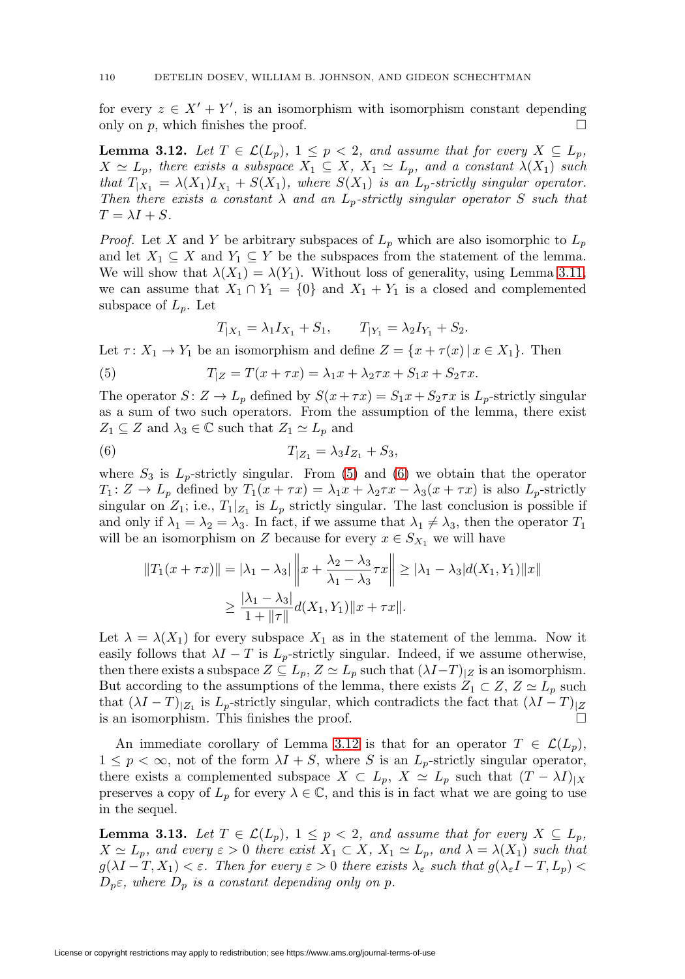for every  $z \in X' + Y'$ , is an isomorphism with isomorphism constant depending only on p, which finishes the proof.  $\square$ 

<span id="page-9-2"></span>**Lemma 3.12.** Let  $T \in \mathcal{L}(L_p)$ ,  $1 \leq p < 2$ , and assume that for every  $X \subseteq L_p$ ,  $X \simeq L_p$ , there exists a subspace  $X_1 \subseteq X$ ,  $X_1 \simeq L_p$ , and a constant  $\lambda(X_1)$  such that  $T_{|X_1} = \lambda(X_1)I_{X_1} + S(X_1)$ , where  $S(X_1)$  is an  $L_p$ -strictly singular operator. Then there exists a constant  $\lambda$  and an  $L_p$ -strictly singular operator S such that  $T = \lambda I + S.$ 

*Proof.* Let X and Y be arbitrary subspaces of  $L_p$  which are also isomorphic to  $L_p$ and let  $X_1 \subseteq X$  and  $Y_1 \subseteq Y$  be the subspaces from the statement of the lemma. We will show that  $\lambda(X_1) = \lambda(Y_1)$ . Without loss of generality, using Lemma [3.11,](#page-7-0) we can assume that  $X_1 \cap Y_1 = \{0\}$  and  $X_1 + Y_1$  is a closed and complemented subspace of  $L_p$ . Let

 $T_{|X_1} = \lambda_1 I_{X_1} + S_1,$   $T_{|Y_1} = \lambda_2 I_{Y_1} + S_2.$ 

Let  $\tau: X_1 \to Y_1$  be an isomorphism and define  $Z = \{x + \tau(x) | x \in X_1\}$ . Then

<span id="page-9-0"></span>(5) 
$$
T_{|Z} = T(x + \tau x) = \lambda_1 x + \lambda_2 \tau x + S_1 x + S_2 \tau x.
$$

The operator  $S: Z \to L_p$  defined by  $S(x + \tau x) = S_1 x + S_2 \tau x$  is  $L_p$ -strictly singular as a sum of two such operators. From the assumption of the lemma, there exist  $Z_1 \subseteq Z$  and  $\lambda_3 \in \mathbb{C}$  such that  $Z_1 \simeq L_p$  and

<span id="page-9-1"></span>(6) 
$$
T_{|Z_1} = \lambda_3 I_{Z_1} + S_3,
$$

where  $S_3$  is  $L_p$ -strictly singular. From [\(5\)](#page-9-0) and [\(6\)](#page-9-1) we obtain that the operator  $T_1: Z \to L_p$  defined by  $T_1(x + \tau x) = \lambda_1 x + \lambda_2 \tau x - \lambda_3(x + \tau x)$  is also  $L_p$ -strictly singular on  $Z_1$ ; i.e.,  $T_1|_{Z_1}$  is  $L_p$  strictly singular. The last conclusion is possible if and only if  $\lambda_1 = \lambda_2 = \lambda_3$ . In fact, if we assume that  $\lambda_1 \neq \lambda_3$ , then the operator  $T_1$ will be an isomorphism on Z because for every  $x \in S_{X_1}$  we will have

$$
||T_1(x + \tau x)|| = |\lambda_1 - \lambda_3| ||x + \frac{\lambda_2 - \lambda_3}{\lambda_1 - \lambda_3} \tau x|| \ge |\lambda_1 - \lambda_3| d(X_1, Y_1)||x||
$$
  

$$
\ge \frac{|\lambda_1 - \lambda_3|}{1 + ||\tau||} d(X_1, Y_1)||x + \tau x||.
$$

Let  $\lambda = \lambda(X_1)$  for every subspace  $X_1$  as in the statement of the lemma. Now it easily follows that  $\lambda I - T$  is  $L_p$ -strictly singular. Indeed, if we assume otherwise, then there exists a subspace  $Z \subseteq L_p$ ,  $Z \simeq L_p$  such that  $(\lambda I-T)|_Z$  is an isomorphism. But according to the assumptions of the lemma, there exists  $Z_1 \subset Z$ ,  $Z \simeq L_p$  such that  $(\lambda I - T)|_{Z_1}$  is  $L_p$ -strictly singular, which contradicts the fact that  $(\lambda I - T)|_Z$  is an isomorphism. This finishes the proof. is an isomorphism. This finishes the proof.

An immediate corollary of Lemma [3.12](#page-9-2) is that for an operator  $T \in \mathcal{L}(L_p)$ ,  $1 \leq p < \infty$ , not of the form  $\lambda I + S$ , where S is an  $L_p$ -strictly singular operator, there exists a complemented subspace  $X \subset L_p$ ,  $X \simeq L_p$  such that  $(T - \lambda I)|_X$ preserves a copy of  $L_p$  for every  $\lambda \in \mathbb{C}$ , and this is in fact what we are going to use in the sequel.

<span id="page-9-3"></span>**Lemma 3.13.** Let  $T \in \mathcal{L}(L_p)$ ,  $1 \leq p < 2$ , and assume that for every  $X \subseteq L_p$ ,  $X \simeq L_p$ , and every  $\varepsilon > 0$  there exist  $X_1 \subset X$ ,  $X_1 \simeq L_p$ , and  $\lambda = \lambda(X_1)$  such that  $g(\lambda I - T, X_1) < \varepsilon$ . Then for every  $\varepsilon > 0$  there exists  $\lambda_{\varepsilon}$  such that  $g(\lambda_{\varepsilon}I - T, L_p) <$  $D_p \varepsilon$ , where  $D_p$  is a constant depending only on p.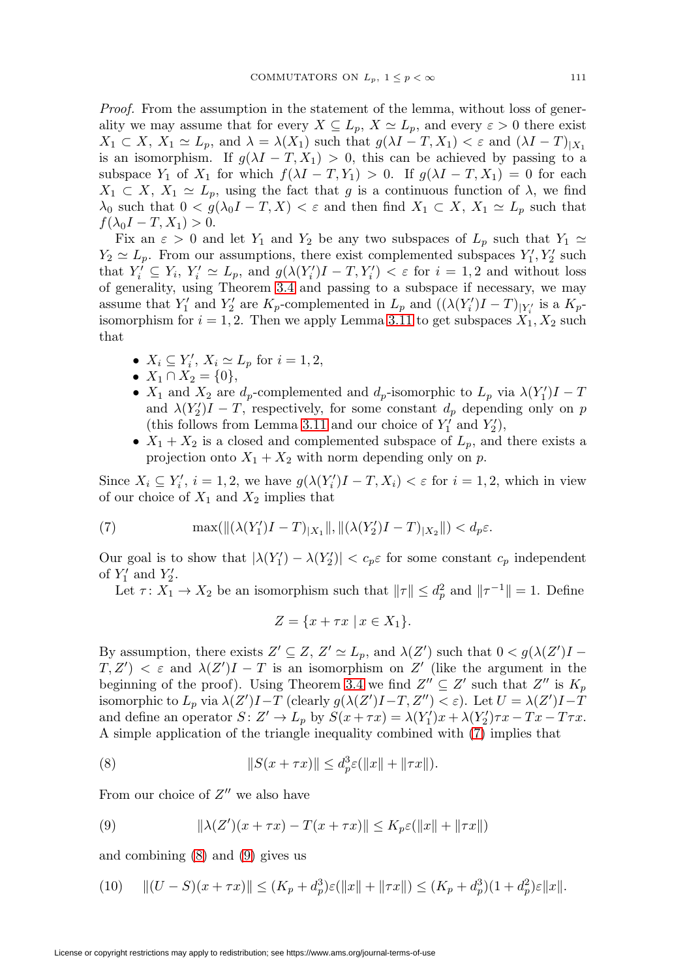Proof. From the assumption in the statement of the lemma, without loss of generality we may assume that for every  $X \subseteq L_p$ ,  $X \simeq L_p$ , and every  $\varepsilon > 0$  there exist  $X_1 \subset X$ ,  $X_1 \simeq L_p$ , and  $\lambda = \lambda(X_1)$  such that  $g(\lambda I - T, X_1) < \varepsilon$  and  $(\lambda I - T)|_{X_1}$ is an isomorphism. If  $g(\lambda I - T, X_1) > 0$ , this can be achieved by passing to a subspace  $Y_1$  of  $X_1$  for which  $f(\lambda I - T, Y_1) > 0$ . If  $g(\lambda I - T, X_1) = 0$  for each  $X_1 \subset X$ ,  $X_1 \simeq L_p$ , using the fact that g is a continuous function of  $\lambda$ , we find  $\lambda_0$  such that  $0 < g(\lambda_0 I - T, X) < \varepsilon$  and then find  $X_1 \subset X$ ,  $X_1 \simeq L_p$  such that  $f(\lambda_0 I - T, X_1) > 0.$ 

Fix an  $\varepsilon > 0$  and let  $Y_1$  and  $Y_2$  be any two subspaces of  $L_p$  such that  $Y_1 \simeq$  $Y_2 \simeq L_p$ . From our assumptions, there exist complemented subspaces  $Y'_1, Y'_2$  such that  $Y_i' \subseteq Y_i$ ,  $Y_i' \simeq L_p$ , and  $g(\lambda(Y_i')I - T, Y_i') < \varepsilon$  for  $i = 1, 2$  and without loss of generality, using Theorem [3.4](#page-6-0) and passing to a subspace if necessary, we may assume that  $Y'_1$  and  $Y'_2$  are  $K_p$ -complemented in  $L_p$  and  $((\lambda(Y'_i)I - T)_{|Y'_i})$  is a  $K_p$ isomorphism for  $i = 1, 2$ . Then we apply Lemma [3.11](#page-7-0) to get subspaces  $X_1, X_2$  such that

- $X_i \subseteq Y'_i$ ,  $X_i \simeq L_p$  for  $i = 1, 2$ ,
- $X_1 \cap X_2 = \{0\},\,$
- $X_1$  and  $X_2$  are  $d_p$ -complemented and  $d_p$ -isomorphic to  $L_p$  via  $\lambda(Y_1')I T$ and  $\lambda(Y_2')I - T$ , respectively, for some constant  $d_p$  depending only on p (this follows from Lemma [3.11](#page-7-0) and our choice of  $Y'_1$  and  $Y'_2$ ),
- $X_1 + X_2$  is a closed and complemented subspace of  $L_p$ , and there exists a projection onto  $X_1 + X_2$  with norm depending only on p.

Since  $X_i \subseteq Y'_i$ ,  $i = 1, 2$ , we have  $g(\lambda(Y'_i)I - T, X_i) < \varepsilon$  for  $i = 1, 2$ , which in view of our choice of  $X_1$  and  $X_2$  implies that

<span id="page-10-0"></span>(7) 
$$
\max(||(\lambda(Y'_1)I - T)_{|X_1}||, ||(\lambda(Y'_2)I - T)_{|X_2}||) < d_p \varepsilon.
$$

Our goal is to show that  $|\lambda(Y_1') - \lambda(Y_2')| < c_p \varepsilon$  for some constant  $c_p$  independent of  $Y'_1$  and  $Y'_2$ .

Let  $\tau: X_1 \to X_2$  be an isomorphism such that  $\|\tau\| \le d_p^2$  and  $\|\tau^{-1}\| = 1$ . Define

$$
Z = \{x + \tau x \mid x \in X_1\}.
$$

By assumption, there exists  $Z' \subseteq Z$ ,  $Z' \simeq L_p$ , and  $\lambda(Z')$  such that  $0 < g(\lambda(Z')I T, Z'$   $\lt$   $\varepsilon$  and  $\lambda(Z')I - T$  is an isomorphism on Z' (like the argument in the beginning of the proof). Using Theorem [3.4](#page-6-0) we find  $Z'' \subseteq Z'$  such that  $Z''$  is  $K_p$ isomorphic to  $L_p$  via  $\lambda(Z')I - T$  (clearly  $g(\lambda(Z')I - T, Z'') < \varepsilon$ ). Let  $U = \lambda(Z')I - T$ and define an operator  $S: Z' \to L_p$  by  $S(x + \tau x) = \lambda(Y'_1)x + \lambda(Y'_2)\tau x - Tx - T\tau x$ . A simple application of the triangle inequality combined with [\(7\)](#page-10-0) implies that

<span id="page-10-1"></span>(8) 
$$
||S(x + \tau x)|| \leq d_p^3 \varepsilon(||x|| + ||\tau x||).
$$

From our choice of  $Z''$  we also have

<span id="page-10-2"></span>(9) 
$$
\|\lambda(Z')(x+\tau x)-T(x+\tau x)\| \le K_p \varepsilon(\|x\|+\|\tau x\|)
$$

and combining [\(8\)](#page-10-1) and [\(9\)](#page-10-2) gives us

(10)  $||(U-S)(x+\tau x)|| \leq (K_p + d_p^3)\varepsilon(||x|| + ||\tau x||) \leq (K_p + d_p^3)(1+d_p^2)\varepsilon||x||.$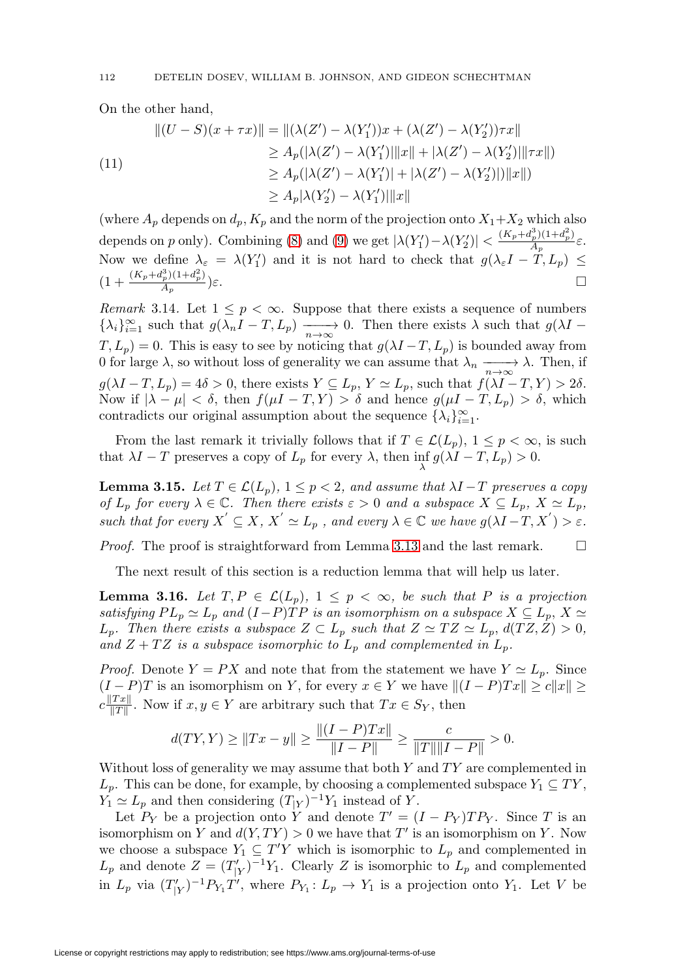On the other hand,

$$
||(U - S)(x + \tau x)|| = ||(\lambda(Z') - \lambda(Y'_1))x + (\lambda(Z') - \lambda(Y'_2))\tau x||
$$
  
\n
$$
\geq A_p(|\lambda(Z') - \lambda(Y'_1)||x|| + |\lambda(Z') - \lambda(Y'_2)||\tau x||)
$$
  
\n
$$
\geq A_p(|\lambda(Z') - \lambda(Y'_1)| + |\lambda(Z') - \lambda(Y'_2)|)||x||)
$$
  
\n
$$
\geq A_p|\lambda(Y'_2) - \lambda(Y'_1)||x||
$$

(where  $A_p$  depends on  $d_p$ ,  $K_p$  and the norm of the projection onto  $X_1+X_2$  which also depends on p only). Combining [\(8\)](#page-10-1) and [\(9\)](#page-10-2) we get  $|\lambda(Y'_1) - \lambda(Y'_2)| < \frac{(K_p + d_p^3)(1+d_p^2)}{A_p}\varepsilon$ . Now we define  $\lambda_{\varepsilon} = \lambda(Y_1')$  and it is not hard to check that  $g(\lambda_{\varepsilon}I - T, L_p) \leq$  $(1 + \frac{(K_p + d_p^3)(1 + d_p^2)}{A_p})\varepsilon.$ 

Remark 3.14. Let  $1 \leq p < \infty$ . Suppose that there exists a sequence of numbers  ${\lambda_i}_{i=1}^{\infty}$  such that  $g(\lambda_n I - T, L_p) \longrightarrow 0$ . Then there exists  $\lambda$  such that  $g(\lambda I - T, L_p)$  $T, L_p$  = 0. This is easy to see by noticing that  $g(\lambda I - T, L_p)$  is bounded away from 0 for large  $\lambda$ , so without loss of generality we can assume that  $\lambda_n \longrightarrow \lambda$ . Then, if  $g(\lambda I - T, L_p) = 4\delta > 0$ , there exists  $Y \subseteq L_p$ ,  $Y \simeq L_p$ , such that  $f(\lambda I - T, Y) > 2\delta$ . Now if  $|\lambda - \mu| < \delta$ , then  $f(\mu I - T, Y) > \delta$  and hence  $g(\mu I - T, L_p) > \delta$ , which contradicts our original assumption about the sequence  $\{\lambda_i\}_{i=1}^{\infty}$ .

From the last remark it trivially follows that if  $T \in \mathcal{L}(L_p)$ ,  $1 \leq p < \infty$ , is such that  $\lambda I - T$  preserves a copy of  $L_p$  for every  $\lambda$ , then inf  $g(\lambda I - T, L_p) > 0$ .

<span id="page-11-0"></span>**Lemma 3.15.** Let  $T \in \mathcal{L}(L_p)$ ,  $1 \leq p < 2$ , and assume that  $\lambda I - T$  preserves a copy of  $L_p$  for every  $\lambda \in \mathbb{C}$ . Then there exists  $\varepsilon > 0$  and a subspace  $X \subseteq L_p$ ,  $X \simeq L_p$ , such that for every  $X' \subseteq X$ ,  $X' \simeq L_p$ , and every  $\lambda \in \mathbb{C}$  we have  $g(\lambda I - T, X') > \varepsilon$ .

Proof. The proof is straightforward from Lemma [3.13](#page-9-3) and the last remark.  $\Box$ 

The next result of this section is a reduction lemma that will help us later.

<span id="page-11-1"></span>**Lemma 3.16.** Let  $T, P \in \mathcal{L}(L_p)$ ,  $1 \leq p < \infty$ , be such that P is a projection satisfying  $PL_p \simeq L_p$  and  $(I-P)TP$  is an isomorphism on a subspace  $X \subseteq L_p$ ,  $X \simeq$  $L_p$ . Then there exists a subspace  $Z \subset L_p$  such that  $Z \simeq TZ \simeq L_p$ ,  $d(TZ, Z) > 0$ , and  $Z + TZ$  is a subspace isomorphic to  $L_p$  and complemented in  $L_p$ .

*Proof.* Denote  $Y = PX$  and note that from the statement we have  $Y \simeq L_p$ . Since  $(I - P)T$  is an isomorphism on Y, for every  $x \in Y$  we have  $||(I - P)Tx|| \ge c||x|| \ge c$  $c \frac{\|Tx\|}{\|T\|}$ . Now if  $x, y \in Y$  are arbitrary such that  $Tx \in S_Y$ , then

$$
d(TY,Y) \ge ||Tx - y|| \ge \frac{||(I - P)Tx||}{||I - P||} \ge \frac{c}{||T|| ||I - P||} > 0.
$$

Without loss of generality we may assume that both  $Y$  and  $TY$  are complemented in  $L_p$ . This can be done, for example, by choosing a complemented subspace  $Y_1 \subseteq TY$ ,  $Y_1 \simeq L_p$  and then considering  $(T_{|Y})^{-1}Y_1$  instead of Y.

Let  $P_Y$  be a projection onto Y and denote  $T' = (I - P_Y)TP_Y$ . Since T is an isomorphism on Y and  $d(Y, TY) > 0$  we have that T' is an isomorphism on Y. Now we choose a subspace  $Y_1 \subseteq T'Y$  which is isomorphic to  $L_p$  and complemented in  $L_p$  and denote  $Z = (T'_{|Y})^{-1}Y_1$ . Clearly Z is isomorphic to  $L_p$  and complemented in  $L_p$  via  $(T'_{|Y})^{-1}P_{Y_1}T'$ , where  $P_{Y_1}: L_p \to Y_1$  is a projection onto  $Y_1$ . Let V be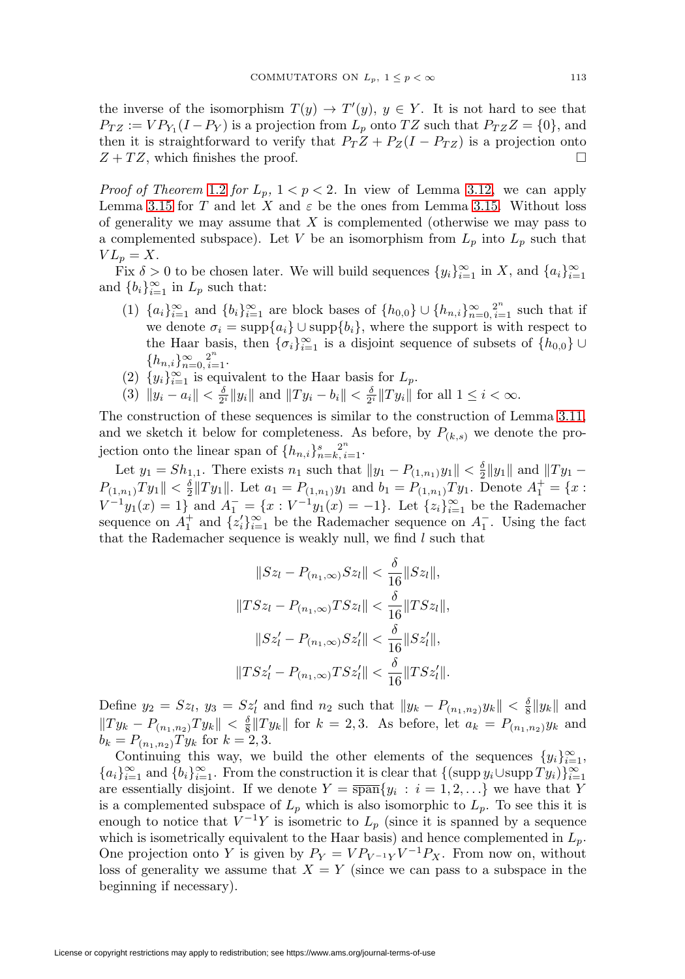the inverse of the isomorphism  $T(y) \to T'(y)$ ,  $y \in Y$ . It is not hard to see that  $P_{TZ} := VP_{Y_1}(I - P_Y)$  is a projection from  $L_p$  onto  $TZ$  such that  $P_{TZ}Z = \{0\}$ , and then it is straightforward to verify that  $P_T Z + P_Z(I - P_{TZ})$  is a projection onto  $Z + TZ$ , which finishes the proof.  $\Box$ 

*Proof of Theorem [1.2](#page-2-1) for*  $L_p$ ,  $1 < p < 2$ . In view of Lemma [3.12,](#page-9-2) we can apply Lemma [3.15](#page-11-0) for T and let X and  $\varepsilon$  be the ones from Lemma [3.15.](#page-11-0) Without loss of generality we may assume that  $X$  is complemented (otherwise we may pass to a complemented subspace). Let V be an isomorphism from  $L_p$  into  $L_p$  such that  $VL_p = X$ .

Fix  $\delta > 0$  to be chosen later. We will build sequences  $\{y_i\}_{i=1}^{\infty}$  in X, and  $\{a_i\}_{i=1}^{\infty}$ and  ${b_i}_{i=1}^{\infty}$  in  $L_p$  such that:

- (1)  ${a_i}_{i=1}^{\infty}$  and  ${b_i}_{i=1}^{\infty}$  are block bases of  ${h_{0,0}} \cup {h_{n,i}}_{n=0, i=1}^{\infty}$  such that if we denote  $\sigma_i = \text{supp}\{a_i\} \cup \text{supp}\{b_i\}$ , where the support is with respect to the Haar basis, then  $\{\sigma_i\}_{i=1}^{\infty}$  is a disjoint sequence of subsets of  $\{h_{0,0}\}\cup\}$  ${h_{n,i}}_{n=0, i=1}^{\infty}$ .
- (2)  $\{y_i\}_{i=1}^{\infty}$  is equivalent to the Haar basis for  $L_p$ .
- (3)  $||y_i a_i|| < \frac{\delta}{2^i} ||y_i||$  and  $||Ty_i b_i|| < \frac{\delta}{2^i} ||Ty_i||$  for all  $1 \leq i < \infty$ .

The construction of these sequences is similar to the construction of Lemma [3.11,](#page-7-0) and we sketch it below for completeness. As before, by  $P_{(k,s)}$  we denote the projection onto the linear span of  $\{h_{n,i}\}_{n=k, i=1}^s$ .

Let  $y_1 = Sh_{1,1}$ . There exists  $n_1$  such that  $||y_1 - P_{(1,n_1)}y_1|| < \frac{\delta}{2} ||y_1||$  and  $||Ty_1 P_{(1,n_1)}Ty_1 \parallel \langle \frac{\delta}{2} || Ty_1 \parallel$ . Let  $a_1 = P_{(1,n_1)}y_1$  and  $b_1 = P_{(1,n_1)}Ty_1$ . Denote  $A_1^+ = \{x :$  $V^{-1}y_1(x) = 1$  and  $A_1^- = \{x : V^{-1}y_1(x) = -1\}$ . Let  $\{z_i\}_{i=1}^{\infty}$  be the Rademacher sequence on  $A_1^+$  and  $\{z_i'\}_{i=1}^\infty$  be the Rademacher sequence on  $A_1^-$ . Using the fact that the Rademacher sequence is weakly null, we find  $l$  such that

$$
||Sz_{l} - P_{(n_1,\infty)}Sz_{l}|| < \frac{\delta}{16}||Sz_{l}||,
$$
  
\n
$$
||TSz_{l} - P_{(n_1,\infty)}TSz_{l}|| < \frac{\delta}{16}||TSz_{l}||,
$$
  
\n
$$
||Sz'_{l} - P_{(n_1,\infty)}Sz'_{l}|| < \frac{\delta}{16}||Sz'_{l}||,
$$
  
\n
$$
||TSz'_{l} - P_{(n_1,\infty)}TSz'_{l}|| < \frac{\delta}{16}||TSz'_{l}||.
$$

Define  $y_2 = Sz_l$ ,  $y_3 = Sz'_l$  and find  $n_2$  such that  $||y_k - P_{(n_1,n_2)}y_k|| < \frac{\delta}{8}||y_k||$  and  $||Ty_k - P_{(n_1,n_2)}Ty_k|| < \frac{\delta}{8}||Ty_k||$  for  $k = 2,3$ . As before, let  $a_k = P_{(n_1,n_2)}y_k$  and  $b_k = P_{(n_1,n_2)} Ty_k$  for  $k = 2,3$ .

Continuing this way, we build the other elements of the sequences  $\{y_i\}_{i=1}^{\infty}$ ,  ${a_i}_{i=1}^{\infty}$  and  ${b_i}_{i=1}^{\infty}$ . From the construction it is clear that  ${(\text{supp } y_i \cup \text{supp } Ty_i)}_{i=1}^{\infty}$ are essentially disjoint. If we denote  $Y = \overline{\text{span}}\{y_i : i = 1, 2, ...\}$  we have that Y is a complemented subspace of  $L_p$  which is also isomorphic to  $L_p$ . To see this it is enough to notice that  $V^{-1}Y$  is isometric to  $L_p$  (since it is spanned by a sequence which is isometrically equivalent to the Haar basis) and hence complemented in  $L_p$ . One projection onto Y is given by  $P_Y = VP_{V^{-1}Y}V^{-1}P_X$ . From now on, without loss of generality we assume that  $X = Y$  (since we can pass to a subspace in the beginning if necessary).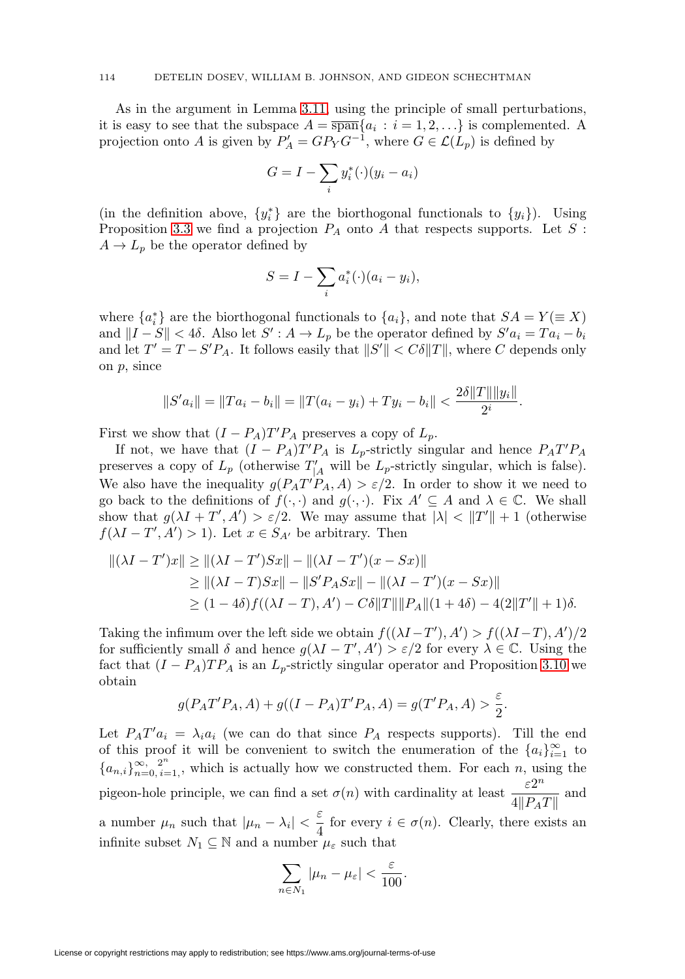As in the argument in Lemma [3.11,](#page-7-0) using the principle of small perturbations, it is easy to see that the subspace  $A = \overline{\text{span}}\{a_i : i = 1, 2, ...\}$  is complemented. A projection onto A is given by  $P'_A = GP_Y G^{-1}$ , where  $G \in \mathcal{L}(L_p)$  is defined by

$$
G = I - \sum_{i} y_i^*(\cdot)(y_i - a_i)
$$

(in the definition above,  $\{y_i^*\}$  are the biorthogonal functionals to  $\{y_i\}$ ). Using Proposition [3.3](#page-5-0) we find a projection  $P_A$  onto A that respects supports. Let S:  $A \rightarrow L_p$  be the operator defined by

$$
S = I - \sum_{i} a_i^*(\cdot)(a_i - y_i),
$$

where  $\{a_i^*\}$  are the biorthogonal functionals to  $\{a_i\}$ , and note that  $SA = Y (\equiv X)$ and  $||I - S|| < 4\delta$ . Also let  $S' : A \to L_p$  be the operator defined by  $S'a_i = Ta_i - b_i$ and let  $T' = T - S'P_A$ . It follows easily that  $||S'|| < C\delta||T||$ , where C depends only on p, since

$$
||S'a_i|| = ||Ta_i - b_i|| = ||T(a_i - y_i) + Ty_i - b_i|| < \frac{2\delta||T|| ||y_i||}{2^i}.
$$

First we show that  $(I - P_A)T'P_A$  preserves a copy of  $L_p$ .

If not, we have that  $(I - P_A)T'P_A$  is  $L_p$ -strictly singular and hence  $P_A T'P_A$ preserves a copy of  $L_p$  (otherwise  $T'_{|A}$  will be  $L_p$ -strictly singular, which is false). We also have the inequality  $g(P_A T' P_A, A) > \varepsilon/2$ . In order to show it we need to go back to the definitions of  $f(\cdot, \cdot)$  and  $g(\cdot, \cdot)$ . Fix  $A' \subseteq A$  and  $\lambda \in \mathbb{C}$ . We shall show that  $g(\lambda I + T', A') > \varepsilon/2$ . We may assume that  $|\lambda| < ||T'|| + 1$  (otherwise  $f(\lambda I - T', A') > 1$ . Let  $x \in S_{A'}$  be arbitrary. Then

$$
||(\lambda I - T')x|| \ge ||(\lambda I - T')Sx|| - ||(\lambda I - T')(x - Sx)||
$$
  
\n
$$
\ge ||(\lambda I - T)Sx|| - ||S'P_ASx|| - ||(\lambda I - T')(x - Sx)||
$$
  
\n
$$
\ge (1 - 4\delta)f((\lambda I - T), A') - C\delta||T|| ||P_A||(1 + 4\delta) - 4(2||T'|| + 1)\delta.
$$

Taking the infimum over the left side we obtain  $f((\lambda I - T', A') > f((\lambda I - T), A')/2$ for sufficiently small  $\delta$  and hence  $g(\lambda I - T', A') > \varepsilon/2$  for every  $\lambda \in \mathbb{C}$ . Using the fact that  $(I - P_A)TP_A$  is an  $L_p$ -strictly singular operator and Proposition [3.10](#page-7-1) we obtain

$$
g(P_A T' P_A, A) + g((I - P_A)T' P_A, A) = g(T' P_A, A) > \frac{\varepsilon}{2}.
$$

Let  $P_A T' a_i = \lambda_i a_i$  (we can do that since  $P_A$  respects supports). Till the end of this proof it will be convenient to switch the enumeration of the  ${a_i}_{i=1}^{\infty}$  to  ${a_{n,i}}_{n=0, i=1}^{\infty}$ , which is actually how we constructed them. For each n, using the pigeon-hole principle, we can find a set  $\sigma(n)$  with cardinality at least  $\frac{\varepsilon 2^n}{4||P_AT||}$  and a number  $\mu_n$  such that  $|\mu_n - \lambda_i| < \frac{\varepsilon}{4}$  for every  $i \in \sigma(n)$ . Clearly, there exists an infinite subset  $N_1\subseteq \mathbb{N}$  and a number  $\mu_\varepsilon$  such that

$$
\sum_{n\in N_1}|\mu_n-\mu_{\varepsilon}|<\frac{\varepsilon}{100}.
$$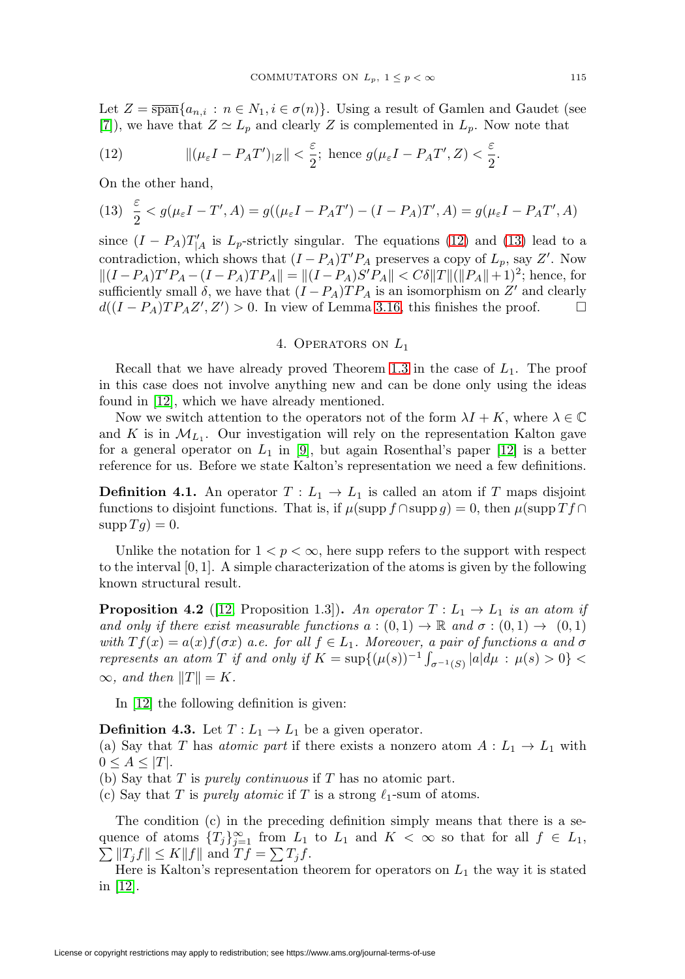Let  $Z = \overline{\text{span}}\{a_{n,i} : n \in N_1, i \in \sigma(n)\}\$ . Using a result of Gamlen and Gaudet (see [\[7\]](#page-25-6)), we have that  $Z \simeq L_p$  and clearly Z is complemented in  $L_p$ . Now note that

<span id="page-14-0"></span>(12) 
$$
\|(\mu_{\varepsilon}I - P_A T')_{|Z}\| < \frac{\varepsilon}{2}; \text{ hence } g(\mu_{\varepsilon}I - P_A T', Z) < \frac{\varepsilon}{2}.
$$

On the other hand,

<span id="page-14-1"></span>(13) 
$$
\frac{\varepsilon}{2} < g(\mu_{\varepsilon}I - T', A) = g((\mu_{\varepsilon}I - P_A T') - (I - P_A)T', A) = g(\mu_{\varepsilon}I - P_A T', A)
$$

since  $(I - P_A)T'_{|A}$  is  $L_p$ -strictly singular. The equations [\(12\)](#page-14-0) and [\(13\)](#page-14-1) lead to a contradiction, which shows that  $(I - P_A)T'P_A$  preserves a copy of  $L_p$ , say Z'. Now  $||(I - P_A)T'P_A - (I - P_A)TP_A|| = ||(I - P_A)S'P_A|| < C\delta ||T|| (||P_A|| + 1)^2$ ; hence, for sufficiently small  $\delta$ , we have that  $(I - P_A)TP_A$  is an isomorphism on Z' and clearly  $d((I - P_A)TP_AZ', Z') > 0$ . In view of Lemma [3.16,](#page-11-1) this finishes the proof.  $\Box$  $\Box$ 

## 4. OPERATORS ON  $L_1$

Recall that we have already proved Theorem [1.3](#page-2-0) in the case of  $L_1$ . The proof in this case does not involve anything new and can be done only using the ideas found in [\[12\]](#page-26-3), which we have already mentioned.

Now we switch attention to the operators not of the form  $\lambda I + K$ , where  $\lambda \in \mathbb{C}$ and K is in  $\mathcal{M}_{L_1}$ . Our investigation will rely on the representation Kalton gave for a general operator on  $L_1$  in [\[9\]](#page-26-5), but again Rosenthal's paper [\[12\]](#page-26-3) is a better reference for us. Before we state Kalton's representation we need a few definitions.

**Definition 4.1.** An operator  $T: L_1 \to L_1$  is called an atom if T maps disjoint functions to disjoint functions. That is, if  $\mu(\text{supp } f \cap \text{supp } g) = 0$ , then  $\mu(\text{supp } Tf \cap$  $\operatorname{supp} T q$ ) = 0.

Unlike the notation for  $1 < p < \infty$ , here supp refers to the support with respect to the interval  $[0, 1]$ . A simple characterization of the atoms is given by the following known structural result.

**Proposition 4.2** ([\[12,](#page-26-3) Proposition 1.3])**.** An operator  $T: L_1 \rightarrow L_1$  is an atom if and only if there exist measurable functions  $a:(0,1) \to \mathbb{R}$  and  $\sigma:(0,1) \to (0,1)$ with  $Tf(x) = a(x)f(\sigma x)$  a.e. for all  $f \in L_1$ . Moreover, a pair of functions a and  $\sigma$ represents an atom T if and only if  $K = \sup\{(\mu(s))^{-1} \int_{\sigma^{-1}(S)} |a| d\mu : \mu(s) > 0\}$  $\infty$ , and then  $||T|| = K$ .

In [\[12\]](#page-26-3) the following definition is given:

**Definition 4.3.** Let  $T: L_1 \to L_1$  be a given operator.

(a) Say that T has atomic part if there exists a nonzero atom  $A: L_1 \to L_1$  with  $0 \leq A \leq |T|$ .

- (b) Say that  $T$  is *purely continuous* if  $T$  has no atomic part.
- (c) Say that T is purely atomic if T is a strong  $\ell_1$ -sum of atoms.

The condition (c) in the preceding definition simply means that there is a sequence of atoms  ${T_j}_{j=1}^{\infty}$  from  $L_1$  to  $L_1$  and  $K < \infty$  so that for all  $f \in L_1$ ,  $\sum ||T_j f|| \leq K ||f||$  and  $Tf = \sum T_j f$ .

Here is Kalton's representation theorem for operators on  $L_1$  the way it is stated in [\[12\]](#page-26-3).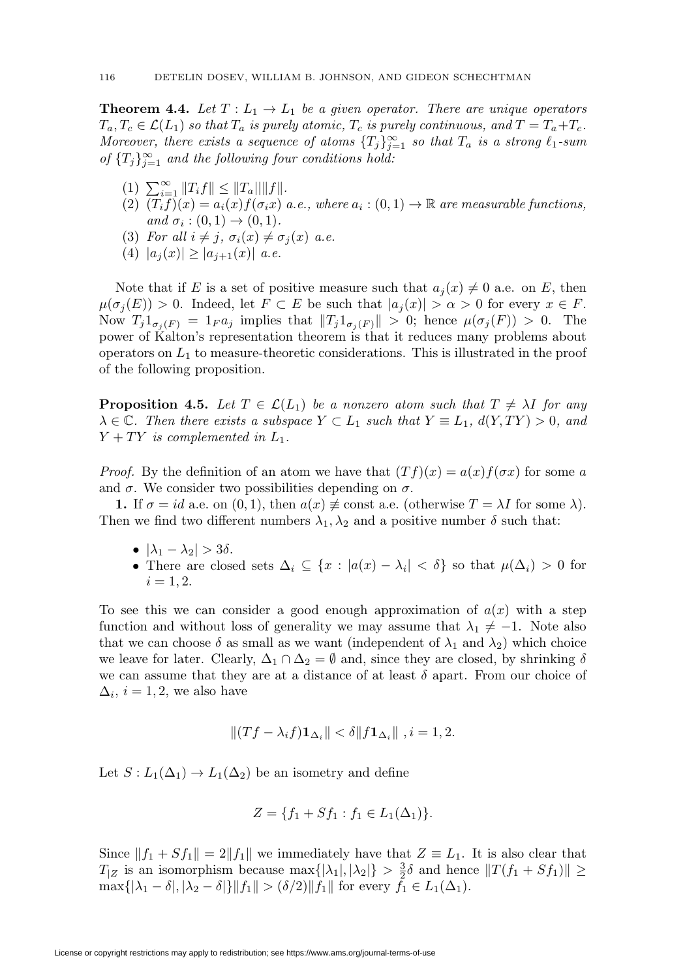**Theorem 4.4.** Let  $T: L_1 \to L_1$  be a given operator. There are unique operators  $T_a, T_c \in \mathcal{L}(L_1)$  so that  $T_a$  is purely atomic,  $T_c$  is purely continuous, and  $T = T_a + T_c$ . Moreover, there exists a sequence of atoms  ${T_j}_{j=1}^{\infty}$  so that  $T_a$  is a strong  $\ell_1$ -sum of  $\{T_j\}_{j=1}^{\infty}$  and the following four conditions hold:

- (1)  $\sum_{i=1}^{\infty} ||T_i f|| \leq ||T_a|| ||f||.$
- (2)  $(T_i f)(x) = a_i(x) f(\sigma_i x)$  a.e., where  $a_i : (0,1) \to \mathbb{R}$  are measurable functions, and  $\sigma_i : (0,1) \rightarrow (0,1)$ .
- (3) For all  $i \neq j$ ,  $\sigma_i(x) \neq \sigma_j(x)$  a.e.
- (4)  $|a_i(x)| \geq |a_{i+1}(x)|$  a.e.

Note that if E is a set of positive measure such that  $a_j(x) \neq 0$  a.e. on E, then  $\mu(\sigma_j(E)) > 0$ . Indeed, let  $F \subset E$  be such that  $|a_j(x)| > \alpha > 0$  for every  $x \in F$ . Now  $T_j 1_{\sigma_i(F)} = 1_F a_j$  implies that  $||T_j 1_{\sigma_i(F)}|| > 0$ ; hence  $\mu(\sigma_j(F)) > 0$ . The power of Kalton's representation theorem is that it reduces many problems about operators on  $L_1$  to measure-theoretic considerations. This is illustrated in the proof of the following proposition.

<span id="page-15-0"></span>**Proposition 4.5.** Let  $T \in \mathcal{L}(L_1)$  be a nonzero atom such that  $T \neq \lambda I$  for any  $\lambda \in \mathbb{C}$ . Then there exists a subspace  $Y \subset L_1$  such that  $Y \equiv L_1$ ,  $d(Y, TY) > 0$ , and  $Y + TY$  is complemented in  $L_1$ .

*Proof.* By the definition of an atom we have that  $(Tf)(x) = a(x)f(\sigma x)$  for some a and  $\sigma$ . We consider two possibilities depending on  $\sigma$ .

**1.** If  $\sigma = id$  a.e. on  $(0, 1)$ , then  $a(x) \neq \text{const}$  a.e. (otherwise  $T = \lambda I$  for some  $\lambda$ ). Then we find two different numbers  $\lambda_1, \lambda_2$  and a positive number  $\delta$  such that:

- $|\lambda_1 \lambda_2| > 3\delta$ .
- There are closed sets  $\Delta_i \subseteq \{x : |a(x) \lambda_i| < \delta\}$  so that  $\mu(\Delta_i) > 0$  for  $i = 1, 2.$

To see this we can consider a good enough approximation of  $a(x)$  with a step function and without loss of generality we may assume that  $\lambda_1 \neq -1$ . Note also that we can choose  $\delta$  as small as we want (independent of  $\lambda_1$  and  $\lambda_2$ ) which choice we leave for later. Clearly,  $\Delta_1 \cap \Delta_2 = \emptyset$  and, since they are closed, by shrinking  $\delta$ we can assume that they are at a distance of at least  $\delta$  apart. From our choice of  $\Delta_i$ ,  $i = 1, 2$ , we also have

$$
|| (Tf - \lambda_i f) \mathbf{1}_{\Delta_i} || < \delta || f \mathbf{1}_{\Delta_i} || , i = 1, 2.
$$

Let  $S: L_1(\Delta_1) \to L_1(\Delta_2)$  be an isometry and define

$$
Z = \{f_1 + Sf_1 : f_1 \in L_1(\Delta_1)\}.
$$

Since  $||f_1 + Sf_1|| = 2||f_1||$  we immediately have that  $Z \equiv L_1$ . It is also clear that  $T_{|Z}$  is an isomorphism because  $\max\{|\lambda_1|, |\lambda_2|\} > \frac{3}{2}\delta$  and hence  $||T(f_1 + Sf_1)|| \ge$  $\max\{|\lambda_1 - \delta|, |\lambda_2 - \delta|\} \|f_1\| > (\delta/2) \|f_1\|$  for every  $f_1 \in L_1(\Delta_1)$ .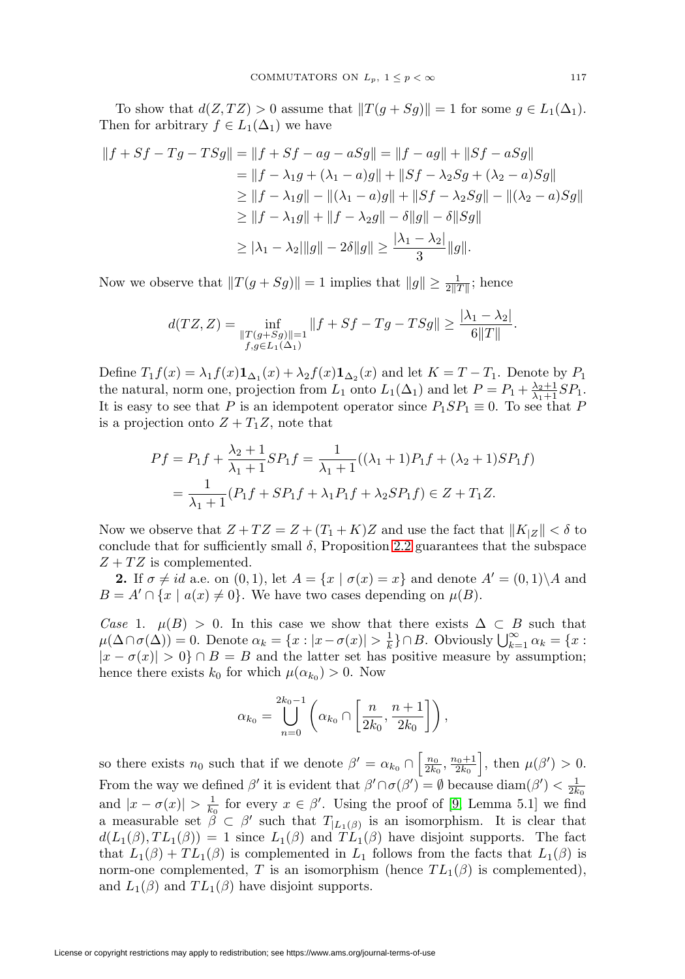To show that  $d(Z, TZ) > 0$  assume that  $||T(g + Sg)|| = 1$  for some  $g \in L_1(\Delta_1)$ . Then for arbitrary  $f \in L_1(\Delta_1)$  we have

$$
||f + Sf - Tg - TSg|| = ||f + Sf - ag - aSg|| = ||f - ag|| + ||Sf - aSg||
$$
  
\n
$$
= ||f - \lambda_1 g + (\lambda_1 - a)g|| + ||Sf - \lambda_2 Sg + (\lambda_2 - a)Sg||
$$
  
\n
$$
\ge ||f - \lambda_1 g|| - ||(\lambda_1 - a)g|| + ||Sf - \lambda_2 Sg|| - ||(\lambda_2 - a)Sg||
$$
  
\n
$$
\ge ||f - \lambda_1 g|| + ||f - \lambda_2 g|| - \delta ||g|| - \delta ||Sg||
$$
  
\n
$$
\ge |\lambda_1 - \lambda_2| ||g|| - 2\delta ||g|| \ge \frac{|\lambda_1 - \lambda_2|}{3} ||g||.
$$

Now we observe that  $||T(g + Sg)|| = 1$  implies that  $||g|| \ge \frac{1}{2||T||}$ ; hence

$$
d(TZ, Z) = \inf_{\substack{\|T(g+Sg)\|=1\\f,g\in L_1(\Delta_1)}} \|f + Sf - Tg - TSg\| \ge \frac{|\lambda_1 - \lambda_2|}{6\|T\|}.
$$

Define  $T_1f(x) = \lambda_1 f(x) \mathbf{1}_{\Delta_1}(x) + \lambda_2 f(x) \mathbf{1}_{\Delta_2}(x)$  and let  $K = T - T_1$ . Denote by  $P_1$ the natural, norm one, projection from  $L_1$  onto  $L_1(\Delta_1)$  and let  $P = P_1 + \frac{\lambda_2 + 1}{\lambda_1 + 1}SP_1$ . It is easy to see that P is an idempotent operator since  $P_1SP_1 \equiv 0$ . To see that P is a projection onto  $Z + T_1Z$ , note that

$$
Pf = P_1 f + \frac{\lambda_2 + 1}{\lambda_1 + 1} SP_1 f = \frac{1}{\lambda_1 + 1} ((\lambda_1 + 1) P_1 f + (\lambda_2 + 1) SP_1 f)
$$
  
= 
$$
\frac{1}{\lambda_1 + 1} (P_1 f + SP_1 f + \lambda_1 P_1 f + \lambda_2 SP_1 f) \in Z + T_1 Z.
$$

Now we observe that  $Z + T Z = Z + (T_1 + K)Z$  and use the fact that  $||K_{Z}|| < \delta$  to conclude that for sufficiently small  $\delta$ , Proposition [2.2](#page-3-1) guarantees that the subspace  $Z + TZ$  is complemented.

**2.** If  $\sigma \neq id$  a.e. on  $(0, 1)$ , let  $A = \{x \mid \sigma(x) = x\}$  and denote  $A' = (0, 1) \setminus A$  and  $B = A' \cap \{x \mid a(x) \neq 0\}.$  We have two cases depending on  $\mu(B)$ .

Case 1.  $\mu(B) > 0$ . In this case we show that there exists  $\Delta \subset B$  such that  $\mu(\Delta \cap \sigma(\Delta)) = 0.$  Denote  $\alpha_k = \{x : |x - \sigma(x)| > \frac{1}{k}\}\cap B.$  Obviously  $\bigcup_{k=1}^{\infty} \alpha_k = \{x : |x - \sigma(x)| > \frac{1}{k}\}\cap B.$  $|x - \sigma(x)| > 0$  ∩ B = B and the latter set has positive measure by assumption; hence there exists  $k_0$  for which  $\mu(\alpha_{k_0}) > 0$ . Now

$$
\alpha_{k_0} = \bigcup_{n=0}^{2k_0-1} \left( \alpha_{k_0} \cap \left[ \frac{n}{2k_0}, \frac{n+1}{2k_0} \right] \right),
$$

so there exists  $n_0$  such that if we denote  $\beta' = \alpha_{k_0} \cap \left[\frac{n_0}{2k_0}, \frac{n_0+1}{2k_0}\right]$ , then  $\mu(\beta') > 0$ . From the way we defined  $\beta'$  it is evident that  $\beta' \cap \sigma(\beta') = \emptyset$  because  $\text{diam}(\beta') < \frac{1}{2k_0}$ and  $|x - \sigma(x)| > \frac{1}{k_0}$  for every  $x \in \beta'$ . Using the proof of [\[9,](#page-26-5) Lemma 5.1] we find a measurable set  $\ddot{\beta} \subset \beta'$  such that  $T_{|L_1(\beta)}$  is an isomorphism. It is clear that  $d(L_1(\beta),TL_1(\beta)) = 1$  since  $L_1(\beta)$  and  $TL_1(\beta)$  have disjoint supports. The fact that  $L_1(\beta) + TL_1(\beta)$  is complemented in  $L_1$  follows from the facts that  $L_1(\beta)$  is norm-one complemented, T is an isomorphism (hence  $TL_1(\beta)$  is complemented), and  $L_1(\beta)$  and  $TL_1(\beta)$  have disjoint supports.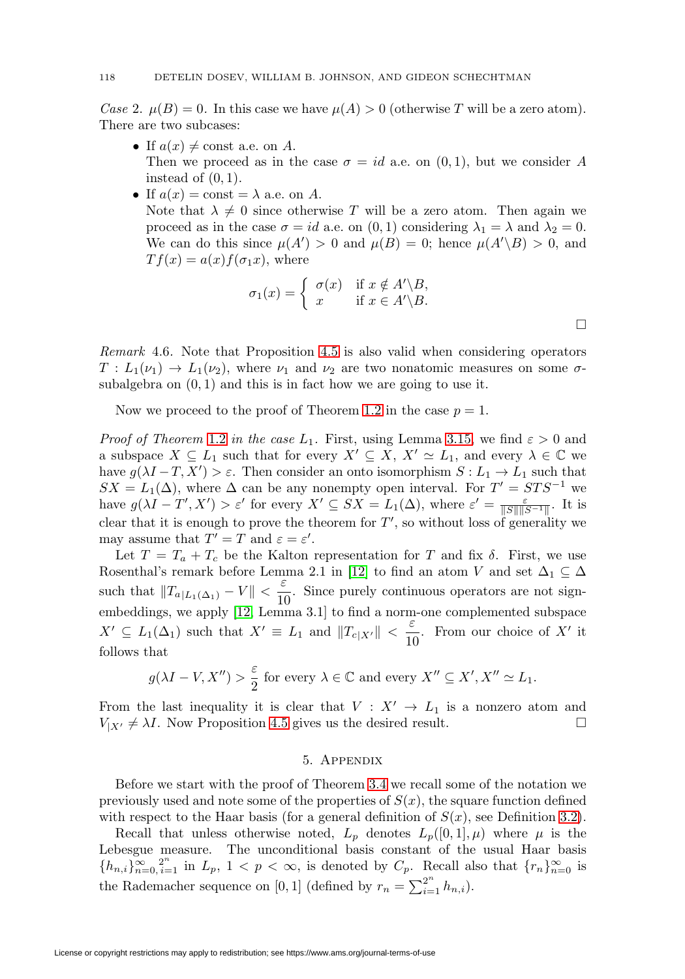Case 2.  $\mu(B)=0$ . In this case we have  $\mu(A) > 0$  (otherwise T will be a zero atom). There are two subcases:

- If  $a(x) \neq \text{const}$  a.e. on A. Then we proceed as in the case  $\sigma = id$  a.e. on  $(0, 1)$ , but we consider A instead of  $(0, 1)$ .
- If  $a(x) = \text{const} = \lambda$  a.e. on A.

Note that  $\lambda \neq 0$  since otherwise T will be a zero atom. Then again we proceed as in the case  $\sigma = id$  a.e. on  $(0, 1)$  considering  $\lambda_1 = \lambda$  and  $\lambda_2 = 0$ . We can do this since  $\mu(A') > 0$  and  $\mu(B) = 0$ ; hence  $\mu(A' \setminus B) > 0$ , and  $T f(x) = a(x) f(\sigma_1 x)$ , where

$$
\sigma_1(x) = \begin{cases} \sigma(x) & \text{if } x \notin A' \backslash B, \\ x & \text{if } x \in A' \backslash B. \end{cases}
$$

Remark 4.6. Note that Proposition [4.5](#page-15-0) is also valid when considering operators  $T: L_1(\nu_1) \to L_1(\nu_2)$ , where  $\nu_1$  and  $\nu_2$  are two nonatomic measures on some  $\sigma$ subalgebra on  $(0, 1)$  and this is in fact how we are going to use it.

Now we proceed to the proof of Theorem [1.2](#page-2-1) in the case  $p = 1$ .

*Proof of Theorem [1.2](#page-2-1) in the case L*<sub>1</sub>. First, using Lemma [3.15,](#page-11-0) we find  $\varepsilon > 0$  and a subspace  $X \subseteq L_1$  such that for every  $X' \subseteq X$ ,  $X' \simeq L_1$ , and every  $\lambda \in \mathbb{C}$  we have  $g(\lambda I - T, X') > \varepsilon$ . Then consider an onto isomorphism  $S: L_1 \to L_1$  such that  $SX = L_1(\Delta)$ , where  $\Delta$  can be any nonempty open interval. For  $T' = STS^{-1}$  we have  $g(\lambda I - T', X') > \varepsilon'$  for every  $X' \subseteq SX = L_1(\Delta)$ , where  $\varepsilon' = \frac{\varepsilon}{\|S\| \|S^{-1}\|}$ . It is clear that it is enough to prove the theorem for  $T'$ , so without loss of generality we may assume that  $T' = T$  and  $\varepsilon = \varepsilon'.$ 

Let  $T = T_a + T_c$  be the Kalton representation for T and fix  $\delta$ . First, we use Rosenthal's remark before Lemma 2.1 in [\[12\]](#page-26-3) to find an atom V and set  $\Delta_1 \subseteq \Delta$ such that  $||T_{a|L_1(\Delta_1)} - V|| < \frac{\varepsilon}{10}$ . Since purely continuous operators are not signembeddings, we apply [\[12,](#page-26-3) Lemma 3.1] to find a norm-one complemented subspace  $X' \subseteq L_1(\Delta_1)$  such that  $X' \equiv L_1$  and  $||T_{c|X'}|| < \frac{\varepsilon}{10}$  $\frac{1}{10}$ . From our choice of X' it follows that

$$
g(\lambda I - V, X'') > \frac{\varepsilon}{2}
$$
 for every  $\lambda \in \mathbb{C}$  and every  $X'' \subseteq X', X'' \simeq L_1$ .

From the last inequality it is clear that  $V : X' \to L_1$  is a nonzero atom and  $V_{|X'} \neq \lambda I$ . Now Proposition [4.5](#page-15-0) gives us the desired result.  $\Box$  $\Box$ 

#### 5. Appendix

Before we start with the proof of Theorem [3.4](#page-6-0) we recall some of the notation we previously used and note some of the properties of  $S(x)$ , the square function defined with respect to the Haar basis (for a general definition of  $S(x)$ , see Definition [3.2\)](#page-5-1).

Recall that unless otherwise noted,  $L_p$  denotes  $L_p([0,1], \mu)$  where  $\mu$  is the Lebesgue measure. The unconditional basis constant of the usual Haar basis  ${h_{n,i}}_{n=0, i=1}^{\infty}$  in  $L_p$ ,  $1 < p < \infty$ , is denoted by  $C_p$ . Recall also that  ${r_n}_{n=0}^{\infty}$  is the Rademacher sequence on [0, 1] (defined by  $r_n = \sum_{i=1}^{2^n} h_{n,i}$ ).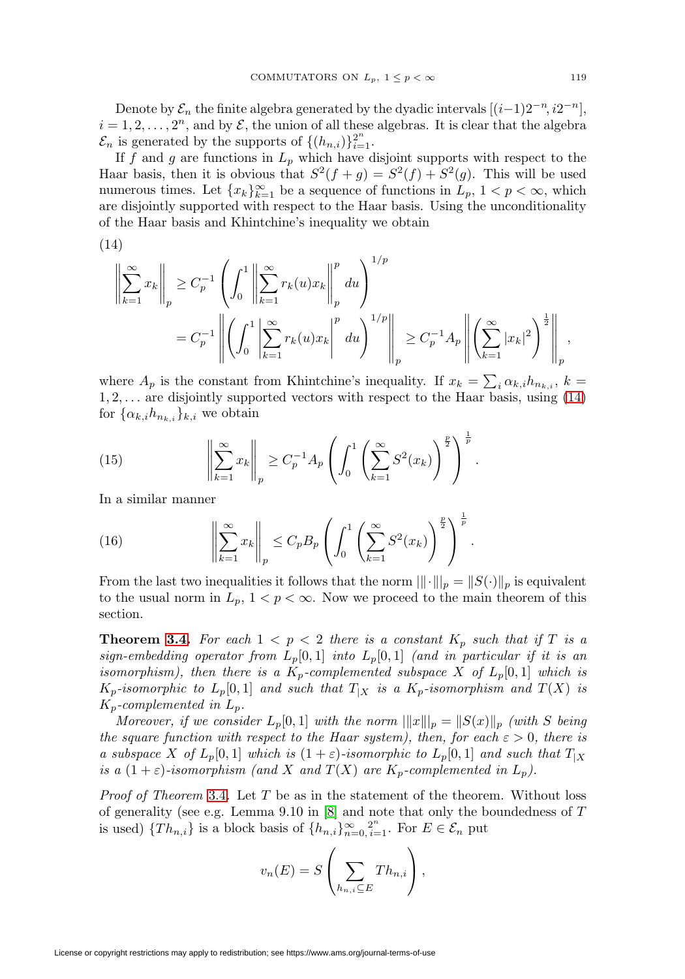Denote by  $\mathcal{E}_n$  the finite algebra generated by the dyadic intervals  $[(i-1)2^{-n}, i2^{-n}]$ ,  $i = 1, 2, \ldots, 2<sup>n</sup>$ , and by  $\mathcal{E}$ , the union of all these algebras. It is clear that the algebra  $\mathcal{E}_n$  is generated by the supports of  $\{(h_{n,i})\}_{i=1}^{2^n}$ .

If f and g are functions in  $L_p$  which have disjoint supports with respect to the Haar basis, then it is obvious that  $S^2(f + g) = S^2(f) + S^2(g)$ . This will be used numerous times. Let  ${x_k}_{k=1}^{\infty}$  be a sequence of functions in  $L_p$ ,  $1 < p < \infty$ , which are disjointly supported with respect to the Haar basis. Using the unconditionality of the Haar basis and Khintchine's inequality we obtain

<span id="page-18-0"></span>
$$
(14)
$$

$$
\left\| \sum_{k=1}^{\infty} x_k \right\|_p \ge C_p^{-1} \left( \int_0^1 \left\| \sum_{k=1}^{\infty} r_k(u) x_k \right\|_p^p du \right)^{1/p}
$$
  
=  $C_p^{-1} \left\| \left( \int_0^1 \left| \sum_{k=1}^{\infty} r_k(u) x_k \right\|_p^p du \right)^{1/p} \right\|_p \ge C_p^{-1} A_p \left\| \left( \sum_{k=1}^{\infty} |x_k|^2 \right)^{\frac{1}{2}} \right\|_p$ 

where  $A_p$  is the constant from Khintchine's inequality. If  $x_k = \sum_i \alpha_{k,i} h_{n_{k,i}}, k =$  $1, 2, \ldots$  are disjointly supported vectors with respect to the Haar basis, using  $(14)$ for  $\{\alpha_{k,i}h_{n_{k,i}}\}_{k,i}$  we obtain

<span id="page-18-1"></span>(15) 
$$
\left\| \sum_{k=1}^{\infty} x_k \right\|_p \ge C_p^{-1} A_p \left( \int_0^1 \left( \sum_{k=1}^{\infty} S^2(x_k) \right)^{\frac{p}{2}} \right)^{\frac{1}{p}}.
$$

In a similar manner

<span id="page-18-2"></span>(16) 
$$
\left\| \sum_{k=1}^{\infty} x_k \right\|_p \leq C_p B_p \left( \int_0^1 \left( \sum_{k=1}^{\infty} S^2(x_k) \right)^{\frac{p}{2}} \right)^{\frac{1}{p}}
$$

From the last two inequalities it follows that the norm  $\|\cdot\|_p = \|S(\cdot)\|_p$  is equivalent to the usual norm in  $L_p$ ,  $1 < p < \infty$ . Now we proceed to the main theorem of this section.

.

**Theorem [3.4.](#page-6-0)** For each  $1 < p < 2$  there is a constant  $K_p$  such that if T is a sign-embedding operator from  $L_p[0,1]$  into  $L_p[0,1]$  (and in particular if it is an isomorphism), then there is a  $K_p$ -complemented subspace X of  $L_p[0,1]$  which is  $K_p$ -isomorphic to  $L_p[0,1]$  and such that  $T_{|X}$  is a  $K_p$ -isomorphism and  $T(X)$  is  $K_p$ -complemented in  $L_p$ .

Moreover, if we consider  $L_p[0,1]$  with the norm  $\|x\|_p = \|S(x)\|_p$  (with S being the square function with respect to the Haar system), then, for each  $\varepsilon > 0$ , there is a subspace X of  $L_p[0,1]$  which is  $(1+\varepsilon)$ -isomorphic to  $L_p[0,1]$  and such that  $T_X$ is a  $(1+\varepsilon)$ -isomorphism (and X and  $T(X)$  are  $K_p$ -complemented in  $L_p$ ).

*Proof of Theorem [3.4](#page-6-0).* Let  $T$  be as in the statement of the theorem. Without loss of generality (see e.g. Lemma 9.10 in [\[8\]](#page-26-2) and note that only the boundedness of T is used)  $\{Th_{n,i}\}\$ is a block basis of  $\{h_{n,i}\}_{n=0}^{\infty}$ ,  $2^{n}\atop i=1$ . For  $E \in \mathcal{E}_n$  put

$$
v_n(E) = S\left(\sum_{h_{n,i}\subseteq E} Th_{n,i}\right),\,
$$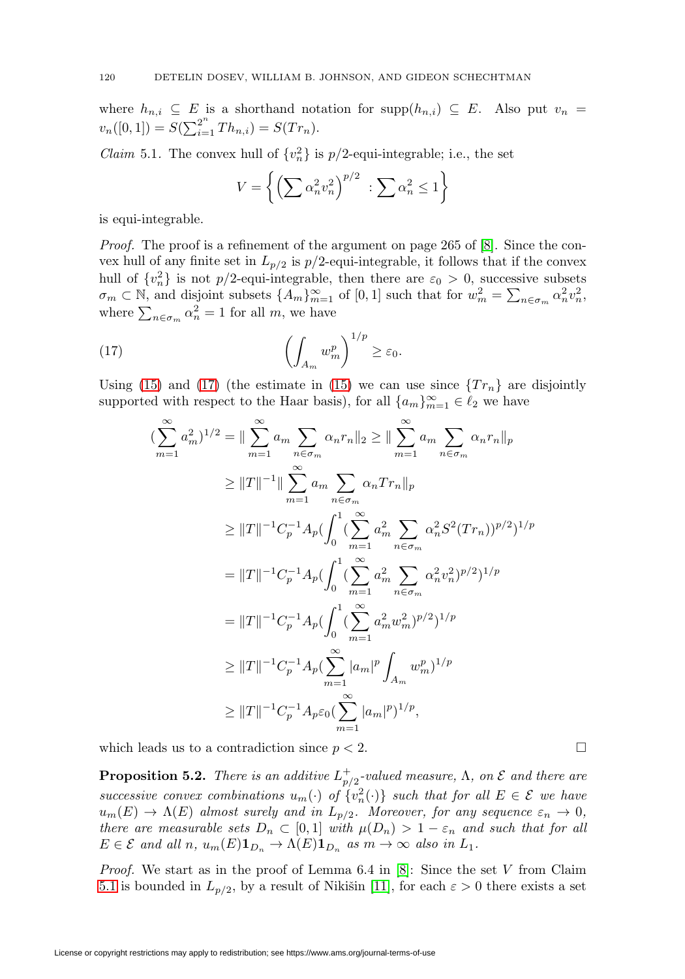where  $h_{n,i} \subseteq E$  is a shorthand notation for supp $(h_{n,i}) \subseteq E$ . Also put  $v_n =$  $v_n([0,1]) = S(\sum_{i=1}^{2^n} Th_{n,i}) = S(Tr_n).$ 

<span id="page-19-1"></span>*Claim* 5.1. The convex hull of  $\{v_n^2\}$  is  $p/2$ -equi-integrable; i.e., the set

$$
V = \left\{ \left( \sum \alpha_n^2 v_n^2 \right)^{p/2} : \sum \alpha_n^2 \le 1 \right\}
$$

is equi-integrable.

Proof. The proof is a refinement of the argument on page 265 of [\[8\]](#page-26-2). Since the convex hull of any finite set in  $L_{p/2}$  is  $p/2$ -equi-integrable, it follows that if the convex hull of  $\{v_n^2\}$  is not p/2-equi-integrable, then there are  $\varepsilon_0 > 0$ , successive subsets  $\sigma_m \subset \mathbb{N}$ , and disjoint subsets  $\{A_m\}_{m=1}^{\infty}$  of  $[0, 1]$  such that for  $w_m^2 = \sum_{n \in \sigma_m} \alpha_n^2 v_n^2$ , where  $\sum_{n \in \sigma_m} \alpha_n^2 = 1$  for all m, we have

<span id="page-19-0"></span>(17) 
$$
\left(\int_{A_m} w_m^p\right)^{1/p} \geq \varepsilon_0.
$$

Using [\(15\)](#page-18-1) and [\(17\)](#page-19-0) (the estimate in (15) we can use since  $\{Tr_n\}$  are disjointly supported with respect to the Haar basis), for all  ${a_m}_{m=1}^{\infty} \in \ell_2$  we have

$$
\begin{split}\n\left(\sum_{m=1}^{\infty} a_m^2\right)^{1/2} &= \|\sum_{m=1}^{\infty} a_m \sum_{n \in \sigma_m} \alpha_n r_n\|_2 \ge \|\sum_{m=1}^{\infty} a_m \sum_{n \in \sigma_m} \alpha_n r_n\|_p \\
&\ge \|T\|^{-1} \|\sum_{m=1}^{\infty} a_m \sum_{n \in \sigma_m} \alpha_n T r_n\|_p \\
&\ge \|T\|^{-1} C_p^{-1} A_p \left(\int_0^1 \left(\sum_{m=1}^{\infty} a_m^2 \sum_{n \in \sigma_m} \alpha_n^2 S^2 (Tr_n)\right)^{p/2}\right)^{1/p} \\
&= \|T\|^{-1} C_p^{-1} A_p \left(\int_0^1 \left(\sum_{m=1}^{\infty} a_m^2 \sum_{n \in \sigma_m} \alpha_n^2 v_n^2\right)^{p/2}\right)^{1/p} \\
&= \|T\|^{-1} C_p^{-1} A_p \left(\int_0^1 \left(\sum_{m=1}^{\infty} a_m^2 w_m^2\right)^{p/2}\right)^{1/p} \\
&\ge \|T\|^{-1} C_p^{-1} A_p \left(\sum_{m=1}^{\infty} |a_m|^p \int_{A_m} w_m^p\right)^{1/p} \\
&\ge \|T\|^{-1} C_p^{-1} A_p \varepsilon_0 \left(\sum_{m=1}^{\infty} |a_m|^p\right)^{1/p},\n\end{split}
$$

which leads us to a contradiction since  $p < 2$ .

<span id="page-19-2"></span>**Proposition 5.2.** There is an additive  $L_{p/2}^+$ -valued measure,  $\Lambda$ , on  $\mathcal E$  and there are successive convex combinations  $u_m(\cdot)$  of  $\{v_n^2(\cdot)\}\)$  such that for all  $E \in \mathcal{E}$  we have  $u_m(E) \to \Lambda(E)$  almost surely and in  $L_{p/2}$ . Moreover, for any sequence  $\varepsilon_n \to 0$ , there are measurable sets  $D_n \subset [0,1]$  with  $\mu(D_n) > 1 - \varepsilon_n$  and such that for all  $E \in \mathcal{E}$  and all n,  $u_m(E) \mathbf{1}_{D_n} \to \Lambda(E) \mathbf{1}_{D_n}$  as  $m \to \infty$  also in  $L_1$ .

*Proof.* We start as in the proof of Lemma 6.4 in  $[8]$ : Since the set V from Claim [5.1](#page-19-1) is bounded in  $L_{p/2}$ , by a result of Nikišin [\[11\]](#page-26-6), for each  $\varepsilon > 0$  there exists a set

$$
\Box
$$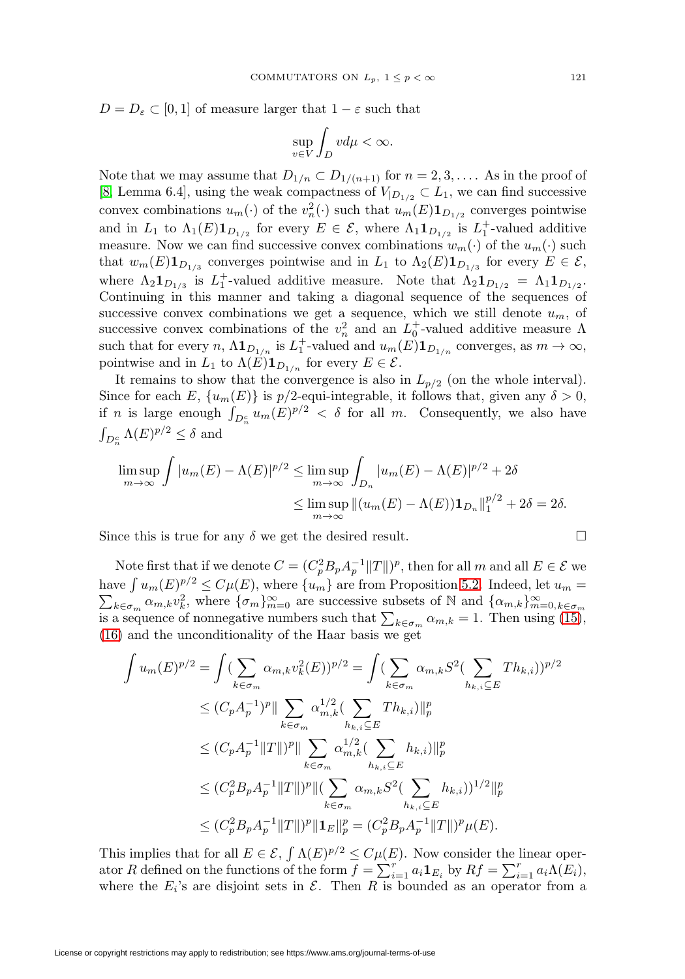$D = D_{\varepsilon} \subset [0, 1]$  of measure larger that  $1 - \varepsilon$  such that

$$
\sup_{v \in V} \int_D v d\mu < \infty.
$$

Note that we may assume that  $D_{1/n} \subset D_{1/(n+1)}$  for  $n = 2, 3, \ldots$ . As in the proof of [\[8,](#page-26-2) Lemma 6.4], using the weak compactness of  $V_{|D_{1/2}} \subset L_1$ , we can find successive convex combinations  $u_m(\cdot)$  of the  $v_n^2(\cdot)$  such that  $u_m(E) \mathbf{1}_{D_{1/2}}$  converges pointwise and in  $L_1$  to  $\Lambda_1(E)1_{D_{1/2}}$  for every  $E \in \mathcal{E}$ , where  $\Lambda_1 1_{D_{1/2}}$  is  $L_1^+$ -valued additive measure. Now we can find successive convex combinations  $w_m(\cdot)$  of the  $u_m(\cdot)$  such that  $w_m(E) \mathbf{1}_{D_{1/3}}$  converges pointwise and in  $L_1$  to  $\Lambda_2(E) \mathbf{1}_{D_{1/3}}$  for every  $E \in \mathcal{E}$ , where  $\Lambda_2 \mathbf{1}_{D_{1/3}}$  is  $L_1^+$ -valued additive measure. Note that  $\Lambda_2 \mathbf{1}_{D_{1/2}} = \Lambda_1 \mathbf{1}_{D_{1/2}}$ . Continuing in this manner and taking a diagonal sequence of the sequences of successive convex combinations we get a sequence, which we still denote  $u_m$ , of successive convex combinations of the  $v_n^2$  and an  $L_0^+$ -valued additive measure  $\Lambda$ such that for every n,  $\Lambda \mathbf{1}_{D_{1/n}}$  is  $L_1^+$ -valued and  $u_m(E)\mathbf{1}_{D_{1/n}}$  converges, as  $m \to \infty$ , pointwise and in  $L_1$  to  $\Lambda(E) \mathbf{1}_{D_{1/n}}$  for every  $E \in \mathcal{E}$ .

It remains to show that the convergence is also in  $L_{p/2}$  (on the whole interval). Since for each  $E, \{u_m(E)\}\$ is  $p/2$ -equi-integrable, it follows that, given any  $\delta > 0$ , if *n* is large enough  $\int_{D_n^c} u_m(E)^{p/2} < \delta$  for all *m*. Consequently, we also have  $\int_{D_n^c} \Lambda(E)^{p/2} \leq \delta$  and

$$
\limsup_{m \to \infty} \int |u_m(E) - \Lambda(E)|^{p/2} \le \limsup_{m \to \infty} \int_{D_n} |u_m(E) - \Lambda(E)|^{p/2} + 2\delta
$$
  

$$
\le \limsup_{m \to \infty} \left\| (u_m(E) - \Lambda(E)) \mathbf{1}_{D_n} \right\|_{1}^{p/2} + 2\delta = 2\delta.
$$

Since this is true for any  $\delta$  we get the desired result.

Note first that if we denote  $C = (C_p^2 B_p A_p^{-1} ||T||)^p$ , then for all m and all  $E \in \mathcal{E}$  we have  $\int u_m(E)^{p/2} \le C\mu(E)$ , where  $\{u_m\}$  are from Proposition [5.2.](#page-19-2) Indeed, let  $u_m =$  $\sum_{k \in \sigma_m} \alpha_{m,k} v_k^2$ , where  $\{\sigma_m\}_{m=0}^{\infty}$  are successive subsets of N and  $\{\alpha_{m,k}\}_{m=0, k \in \sigma_m}^{\infty}$ <br>is a sequence of nonnegative numbers such that  $\sum_{k \in \sigma_m} \alpha_{m,k} = 1$ . Then using [\(15\)](#page-18-1), [\(16\)](#page-18-2) and the unconditionality of the Haar basis we get

$$
\int u_m(E)^{p/2} = \int (\sum_{k \in \sigma_m} \alpha_{m,k} v_k^2(E))^{p/2} = \int (\sum_{k \in \sigma_m} \alpha_{m,k} S^2 (\sum_{h_{k,i} \subseteq E} Th_{k,i}))^{p/2}
$$
  
\n
$$
\leq (C_p A_p^{-1})^p \|\sum_{k \in \sigma_m} \alpha_{m,k}^{1/2} (\sum_{h_{k,i} \subseteq E} Th_{k,i})\|_p^p
$$
  
\n
$$
\leq (C_p A_p^{-1} \|T\|)^p \|\sum_{k \in \sigma_m} \alpha_{m,k}^{1/2} (\sum_{h_{k,i} \subseteq E} h_{k,i})\|_p^p
$$
  
\n
$$
\leq (C_p^2 B_p A_p^{-1} \|T\|)^p \| (\sum_{k \in \sigma_m} \alpha_{m,k} S^2 (\sum_{h_{k,i} \subseteq E} h_{k,i}))^{1/2} \|_p^p
$$
  
\n
$$
\leq (C_p^2 B_p A_p^{-1} \|T\|)^p \|1_E\|_p^p = (C_p^2 B_p A_p^{-1} \|T\|)^p \mu(E).
$$

This implies that for all  $E \in \mathcal{E}$ ,  $\int \Lambda(E)^{p/2} \leq C \mu(E)$ . Now consider the linear operator R defined on the functions of the form  $f = \sum_{i=1}^{r} a_i \mathbf{1}_{E_i}$  by  $Rf = \sum_{i=1}^{r} a_i \Lambda(E_i)$ , where the  $E_i$ 's are disjoint sets in  $\mathcal{E}$ . Then R is bounded as an operator from a

$$
\qquad \qquad \Box
$$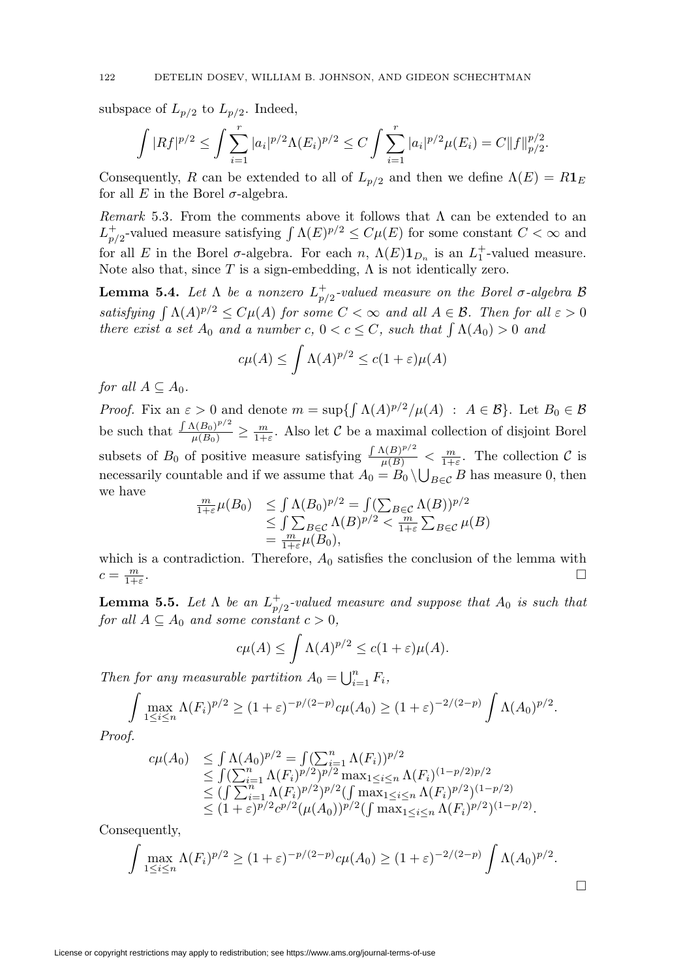subspace of  $L_{p/2}$  to  $L_{p/2}$ . Indeed,

$$
\int |Rf|^{p/2} \leq \int \sum_{i=1}^r |a_i|^{p/2} \Lambda(E_i)^{p/2} \leq C \int \sum_{i=1}^r |a_i|^{p/2} \mu(E_i) = C ||f||_{p/2}^{p/2}.
$$

Consequently, R can be extended to all of  $L_{p/2}$  and then we define  $\Lambda(E) = R1_E$ for all E in the Borel  $\sigma$ -algebra.

Remark 5.3. From the comments above it follows that  $\Lambda$  can be extended to an  $L_{p/2}^+$ -valued measure satisfying  $\int \Lambda(E)^{p/2} \leq C\mu(E)$  for some constant  $C < \infty$  and for all E in the Borel  $\sigma$ -algebra. For each n,  $\Lambda(E) \mathbf{1}_{D_n}$  is an  $L_1^+$ -valued measure. Note also that, since  $T$  is a sign-embedding,  $\Lambda$  is not identically zero.

<span id="page-21-1"></span>**Lemma 5.4.** Let  $\Lambda$  be a nonzero  $L_{p/2}^+$ -valued measure on the Borel  $\sigma$ -algebra  $\mathcal{B}$ satisfying  $\int \Lambda(A)^{p/2} \leq C\mu(A)$  for some  $C < \infty$  and all  $A \in \mathcal{B}$ . Then for all  $\varepsilon > 0$ there exist a set  $A_0$  and a number c,  $0 < c \leq C$ , such that  $\int \Lambda(A_0) > 0$  and

$$
c\mu(A) \le \int \Lambda(A)^{p/2} \le c(1+\varepsilon)\mu(A)
$$

for all  $A \subseteq A_0$ .

*Proof.* Fix an  $\varepsilon > 0$  and denote  $m = \sup\{\int \Lambda(A)^{p/2}/\mu(A) : A \in \mathcal{B}\}\.$  Let  $B_0 \in \mathcal{B}$ be such that  $\frac{\int A(B_0)^{p/2}}{\mu(B_0)} \ge \frac{m}{1+\varepsilon}$ . Also let C be a maximal collection of disjoint Borel subsets of  $B_0$  of positive measure satisfying  $\frac{\int \Lambda(B)^{p/2}}{\mu(B)} < \frac{m}{1+\varepsilon}$ . The collection C is necessarily countable and if we assume that  $A_0 = B_0 \setminus \bigcup_{B \in \mathcal{C}} B$  has measure 0, then we have

$$
\frac{m}{1+\varepsilon}\mu(B_0) \leq \int \Lambda(B_0)^{p/2} = \int (\sum_{B \in \mathcal{C}} \Lambda(B))^{p/2} \leq \int \sum_{B \in \mathcal{C}} \Lambda(B)^{p/2} < \frac{m}{1+\varepsilon} \sum_{B \in \mathcal{C}} \mu(B) = \frac{m}{1+\varepsilon} \mu(B_0),
$$

which is a contradiction. Therefore,  $A_0$  satisfies the conclusion of the lemma with  $c = \frac{m}{1+\epsilon}$ .  $\frac{m}{1+\varepsilon}$ .

<span id="page-21-0"></span>**Lemma 5.5.** Let  $\Lambda$  be an  $L_{p/2}^+$ -valued measure and suppose that  $A_0$  is such that for all  $A \subseteq A_0$  and some constant  $c > 0$ ,

$$
c\mu(A) \le \int \Lambda(A)^{p/2} \le c(1+\varepsilon)\mu(A).
$$

Then for any measurable partition  $A_0 = \bigcup_{i=1}^n F_i$ ,

$$
\int \max_{1 \le i \le n} \Lambda(F_i)^{p/2} \ge (1+\varepsilon)^{-p/(2-p)} c\mu(A_0) \ge (1+\varepsilon)^{-2/(2-p)} \int \Lambda(A_0)^{p/2}.
$$

Proof.

$$
c\mu(A_0) \leq \int \Lambda(A_0)^{p/2} = \int (\sum_{i=1}^n \Lambda(F_i))^{p/2}
$$
  
\n
$$
\leq \int (\sum_{i=1}^n \Lambda(F_i)^{p/2})^{p/2} \max_{1 \leq i \leq n} \Lambda(F_i)^{(1-p/2)p/2}
$$
  
\n
$$
\leq (\int \sum_{i=1}^n \Lambda(F_i)^{p/2})^{p/2} (\int \max_{1 \leq i \leq n} \Lambda(F_i)^{p/2})^{(1-p/2)}
$$
  
\n
$$
\leq (1+\varepsilon)^{p/2} c^{p/2} (\mu(A_0))^{p/2} (\int \max_{1 \leq i \leq n} \Lambda(F_i)^{p/2})^{(1-p/2)}.
$$

Consequently,

$$
\int \max_{1 \le i \le n} \Lambda(F_i)^{p/2} \ge (1+\varepsilon)^{-p/(2-p)} c\mu(A_0) \ge (1+\varepsilon)^{-2/(2-p)} \int \Lambda(A_0)^{p/2}.
$$

 $\Box$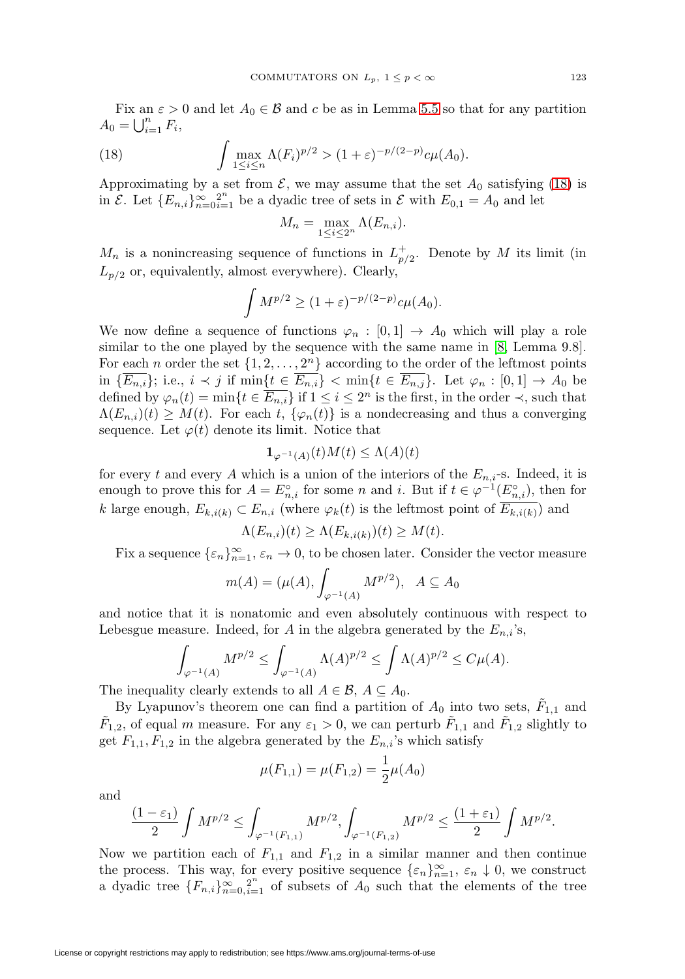Fix an  $\varepsilon > 0$  and let  $A_0 \in \mathcal{B}$  and c be as in Lemma [5.5](#page-21-0) so that for any partition  $A_0 = \bigcup_{i=1}^n F_i,$ 

<span id="page-22-0"></span>(18) 
$$
\int \max_{1 \leq i \leq n} \Lambda(F_i)^{p/2} > (1+\varepsilon)^{-p/(2-p)} c\mu(A_0).
$$

Approximating by a set from  $\mathcal{E}$ , we may assume that the set  $A_0$  satisfying [\(18\)](#page-22-0) is in  $\mathcal{E}$ . Let  $\{E_{n,i}\}_{n=0}^{\infty}i=1}^{2^n}$  be a dyadic tree of sets in  $\mathcal{E}$  with  $E_{0,1} = A_0$  and let

$$
M_n = \max_{1 \le i \le 2^n} \Lambda(E_{n,i}).
$$

 $M_n$  is a nonincreasing sequence of functions in  $L_{p/2}^+$ . Denote by M its limit (in  $L_{p/2}$  or, equivalently, almost everywhere). Clearly,

$$
\int M^{p/2} \ge (1+\varepsilon)^{-p/(2-p)} c\mu(A_0).
$$

We now define a sequence of functions  $\varphi_n : [0,1] \to A_0$  which will play a role similar to the one played by the sequence with the same name in [\[8,](#page-26-2) Lemma 9.8]. For each *n* order the set  $\{1, 2, ..., 2<sup>n</sup>\}$  according to the order of the leftmost points in  $\{\overline{E_{n,i}}\}$ ; i.e.,  $i \prec j$  if  $\min\{t \in \overline{E_{n,i}}\} < \min\{t \in \overline{E_{n,j}}\}$ . Let  $\varphi_n : [0,1] \to A_0$  be defined by  $\varphi_n(t) = \min\{t \in \overline{E_{n,i}}\}$  if  $1 \leq i \leq 2^n$  is the first, in the order  $\prec$ , such that  $\Lambda(E_{n,i})(t) \geq M(t)$ . For each t,  $\{\varphi_n(t)\}\$ is a nondecreasing and thus a converging sequence. Let  $\varphi(t)$  denote its limit. Notice that

$$
\mathbf{1}_{\varphi^{-1}(A)}(t)M(t) \le \Lambda(A)(t)
$$

for every t and every A which is a union of the interiors of the  $E_{n,i}$ -s. Indeed, it is enough to prove this for  $A = E_{n,i}^{\circ}$  for some n and i. But if  $t \in \varphi^{-1}(E_{n,i}^{\circ})$ , then for k large enough,  $E_{k,i(k)} \subset E_{n,i}$  (where  $\varphi_k(t)$  is the leftmost point of  $\overline{E_{k,i(k)}}$ ) and

$$
\Lambda(E_{n,i})(t) \ge \Lambda(E_{k,i(k)})(t) \ge M(t).
$$

Fix a sequence  $\{\varepsilon_n\}_{n=1}^{\infty}$ ,  $\varepsilon_n \to 0$ , to be chosen later. Consider the vector measure

$$
m(A) = (\mu(A), \int_{\varphi^{-1}(A)} M^{p/2}), A \subseteq A_0
$$

and notice that it is nonatomic and even absolutely continuous with respect to Lebesgue measure. Indeed, for A in the algebra generated by the  $E_{n,i}$ 's,

$$
\int_{\varphi^{-1}(A)} M^{p/2} \le \int_{\varphi^{-1}(A)} \Lambda(A)^{p/2} \le \int \Lambda(A)^{p/2} \le C\mu(A).
$$

The inequality clearly extends to all  $A \in \mathcal{B}$ ,  $A \subseteq A_0$ .

By Lyapunov's theorem one can find a partition of  $A_0$  into two sets,  $F_{1,1}$  and  $F_{1,2}$ , of equal m measure. For any  $\varepsilon_1 > 0$ , we can perturb  $F_{1,1}$  and  $F_{1,2}$  slightly to get  $F_{1,1}, F_{1,2}$  in the algebra generated by the  $E_{n,i}$ 's which satisfy

$$
\mu(F_{1,1}) = \mu(F_{1,2}) = \frac{1}{2}\mu(A_0)
$$

and

$$
\frac{(1-\varepsilon_1)}{2}\int M^{p/2}\leq \int_{\varphi^{-1}(F_{1,1})}M^{p/2}, \int_{\varphi^{-1}(F_{1,2})}M^{p/2}\leq \frac{(1+\varepsilon_1)}{2}\int M^{p/2}.
$$

Now we partition each of  $F_{1,1}$  and  $F_{1,2}$  in a similar manner and then continue the process. This way, for every positive sequence  $\{\varepsilon_n\}_{n=1}^{\infty}$ ,  $\varepsilon_n \downarrow 0$ , we construct a dyadic tree  ${F_{n,i}}_{n=0,i=1}^{\infty}$  of subsets of  $A_0$  such that the elements of the tree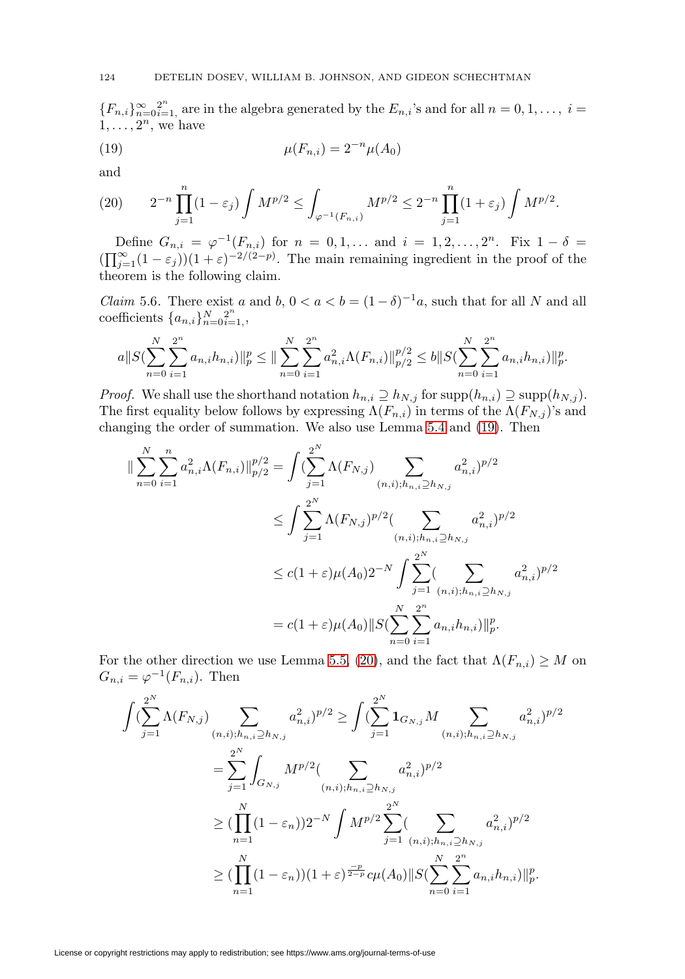${F_{n,i}}_{n=0}^{\infty}$  are in the algebra generated by the  $E_{n,i}$ 's and for all  $n=0,1,\ldots, i=1$  $1,\ldots, 2^n$ , we have

<span id="page-23-0"></span>(19) 
$$
\mu(F_{n,i}) = 2^{-n} \mu(A_0)
$$

and

<span id="page-23-1"></span>
$$
(20) \qquad 2^{-n} \prod_{j=1}^{n} (1 - \varepsilon_j) \int M^{p/2} \le \int_{\varphi^{-1}(F_{n,i})} M^{p/2} \le 2^{-n} \prod_{j=1}^{n} (1 + \varepsilon_j) \int M^{p/2}.
$$

Define  $G_{n,i} = \varphi^{-1}(F_{n,i})$  for  $n = 0, 1, ...$  and  $i = 1, 2, ..., 2^n$ . Fix  $1 - \delta =$  $(\prod_{j=1}^{\infty}(1-\varepsilon_j))(1+\varepsilon)^{-2/(2-p)}$ . The main remaining ingredient in the proof of the theorem is the following claim.

<span id="page-23-2"></span>*Claim* 5.6. There exist a and b,  $0 < a < b = (1 - \delta)^{-1}a$ , such that for all N and all coefficients  $\{a_{n,i}\}_{n=0}^N\}_{i=1}^N$ ,

$$
a||S(\sum_{n=0}^{N}\sum_{i=1}^{2^{n}}a_{n,i}h_{n,i})||_{p}^{p} \leq ||\sum_{n=0}^{N}\sum_{i=1}^{2^{n}}a_{n,i}^{2}\Lambda(F_{n,i})||_{p/2}^{p/2} \leq b||S(\sum_{n=0}^{N}\sum_{i=1}^{2^{n}}a_{n,i}h_{n,i})||_{p}^{p}.
$$

*Proof.* We shall use the shorthand notation  $h_{n,i} \supseteq h_{N,j}$  for  $\text{supp}(h_{n,i}) \supseteq \text{supp}(h_{N,j})$ . The first equality below follows by expressing  $\Lambda(F_{n,i})$  in terms of the  $\Lambda(F_{N,j})$ 's and changing the order of summation. We also use Lemma [5.4](#page-21-1) and [\(19\)](#page-23-0). Then

$$
\|\sum_{n=0}^{N} \sum_{i=1}^{n} a_{n,i}^{2} \Lambda(F_{n,i})\|_{p/2}^{p/2} = \int \left(\sum_{j=1}^{2^{N}} \Lambda(F_{N,j}) \sum_{(n,i); h_{n,i} \ge h_{N,j}} a_{n,i}^{2}\right)^{p/2}
$$
  

$$
\le \int \sum_{j=1}^{2^{N}} \Lambda(F_{N,j})^{p/2} \left(\sum_{(n,i); h_{n,i} \ge h_{N,j}} a_{n,i}^{2}\right)^{p/2}
$$
  

$$
\le c(1+\varepsilon)\mu(A_{0})2^{-N} \int \sum_{j=1}^{2^{N}} \left(\sum_{(n,i); h_{n,i} \ge h_{N,j}} a_{n,i}^{2}\right)^{p/2}
$$
  

$$
= c(1+\varepsilon)\mu(A_{0})\|S(\sum_{n=0}^{N} \sum_{i=1}^{2^{n}} a_{n,i} h_{n,i})\|_{p}^{p}.
$$

For the other direction we use Lemma [5.5,](#page-21-0) [\(20\)](#page-23-1), and the fact that  $\Lambda(F_{n,i}) \geq M$  on  $G_{n,i} = \varphi^{-1}(F_{n,i})$ . Then

$$
\int \left(\sum_{j=1}^{2^N} \Lambda(F_{N,j}) \sum_{(n,i);h_{n,i} \ge h_{N,j}} a_{n,i}^2 \right)^{p/2} \ge \int \left(\sum_{j=1}^{2^N} \mathbf{1}_{G_{N,j}} M \sum_{(n,i);h_{n,i} \ge h_{N,j}} a_{n,i}^2 \right)^{p/2}
$$
  
\n
$$
= \sum_{j=1}^{2^N} \int_{G_{N,j}} M^{p/2} \left(\sum_{(n,i);h_{n,i} \ge h_{N,j}} a_{n,i}^2 \right)^{p/2}
$$
  
\n
$$
\ge \left(\prod_{n=1}^N (1 - \varepsilon_n) \right)^{2^{-N}} \int M^{p/2} \sum_{j=1}^{2^N} \left(\sum_{(n,i);h_{n,i} \ge h_{N,j}} a_{n,i}^2 \right)^{p/2}
$$
  
\n
$$
\ge \left(\prod_{n=1}^N (1 - \varepsilon_n) \right) (1 + \varepsilon)^{\frac{-p}{2-p}} c\mu(A_0) \|S(\sum_{n=0}^N \sum_{i=1}^{2^n} a_{n,i} h_{n,i})\|_p^p.
$$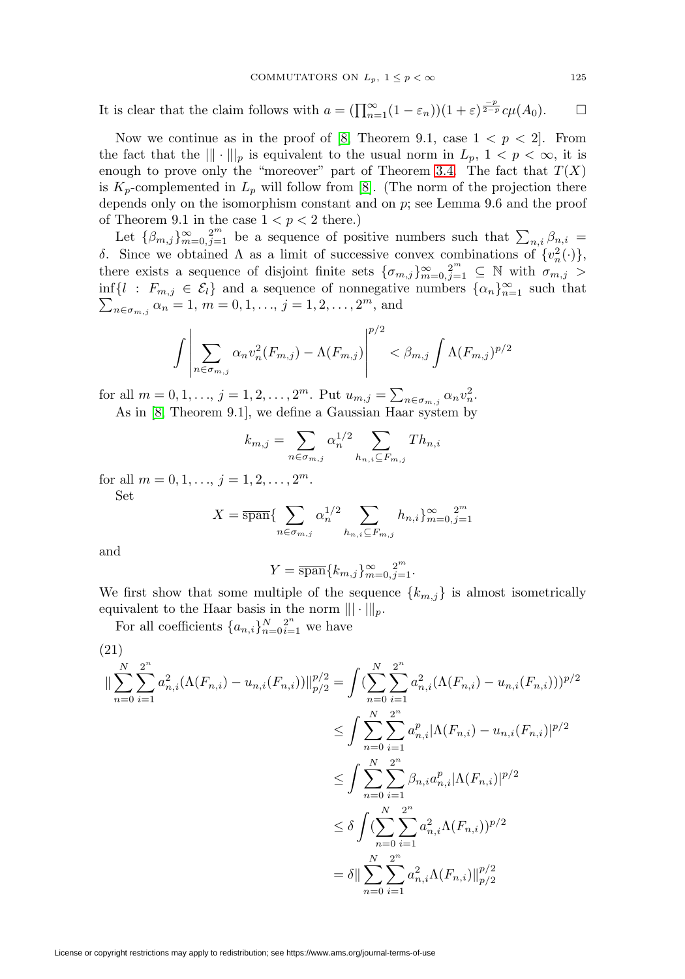It is clear that the claim follows with  $a = (\prod_{n=1}^{\infty} (1 - \varepsilon_n))(1 + \varepsilon)^{\frac{-p}{2-p}} c\mu(A_0)$ .  $\Box$ 

Now we continue as in the proof of [\[8,](#page-26-2) Theorem 9.1, case  $1 < p < 2$ ]. From the fact that the  $\|\cdot\|_p$  is equivalent to the usual norm in  $L_p$ ,  $1 < p < \infty$ , it is enough to prove only the "moreover" part of Theorem [3.4.](#page-6-0) The fact that  $T(X)$ is  $K_p$ -complemented in  $L_p$  will follow from [\[8\]](#page-26-2). (The norm of the projection there depends only on the isomorphism constant and on p; see Lemma 9.6 and the proof of Theorem 9.1 in the case  $1 < p < 2$  there.)

Let  $\{\beta_{m,j}\}_{m=0,j=1}^{\infty}$  be a sequence of positive numbers such that  $\sum_{n,i}\beta_{n,i}$ δ. Since we obtained Λ as a limit of successive convex combinations of  $\{v_n^2(\cdot)\},$ there exists a sequence of disjoint finite sets  $\{\sigma_{m,j}\}_{m=0,j=1}^{\infty} \subseteq \mathbb{N}$  with  $\sigma_{m,j} >$  $\inf\{l : F_{m,j} \in \mathcal{E}_l\}$  and a sequence of nonnegative numbers  $\{\alpha_n\}_{n=1}^{\infty}$  such that  $\sum_{n \in \sigma_{m,j}} \alpha_n = 1, m = 0, 1, \ldots, j = 1, 2, \ldots, 2^m$ , and

$$
\int \left| \sum_{n \in \sigma_{m,j}} \alpha_n v_n^2(F_{m,j}) - \Lambda(F_{m,j}) \right|^{p/2} < \beta_{m,j} \int \Lambda(F_{m,j})^{p/2}
$$

for all  $m = 0, 1, ..., j = 1, 2, ..., 2^m$ . Put  $u_{m,j} = \sum_{n \in \sigma_{m,j}} \alpha_n v_n^2$ .

As in [\[8,](#page-26-2) Theorem 9.1], we define a Gaussian Haar system by

$$
k_{m,j} = \sum_{n \in \sigma_{m,j}} \alpha_n^{1/2} \sum_{h_{n,i} \subseteq F_{m,j}} Th_{n,i}
$$

for all  $m = 0, 1, \ldots, j = 1, 2, \ldots, 2^m$ .

Set

$$
X = \overline{\text{span}} \{ \sum_{n \in \sigma_{m,j}} \alpha_n^{1/2} \sum_{h_{n,i} \subseteq F_{m,j}} h_{n,i} \}_{m=0,j=1}^{\infty} \}
$$

and

$$
Y = \overline{\text{span}}\{k_{m,j}\}_{m=0,j=1}^{\infty}.
$$

We first show that some multiple of the sequence  $\{k_{m,j}\}\$ is almost isometrically equivalent to the Haar basis in the norm  $\|\cdot\|_p$ .

For all coefficients  $\{a_{n,i}\}_{n=0}^N \in \mathbb{R}^n$  we have

$$
(21)
$$
\n
$$
\|\sum_{n=0}^{N} \sum_{i=1}^{2^{n}} a_{n,i}^{2} (\Lambda(F_{n,i}) - u_{n,i}(F_{n,i}))\|_{p/2}^{p/2} = \int (\sum_{n=0}^{N} \sum_{i=1}^{2^{n}} a_{n,i}^{2} (\Lambda(F_{n,i}) - u_{n,i}(F_{n,i})))^{p/2}
$$
\n
$$
\leq \int \sum_{n=0}^{N} \sum_{i=1}^{2^{n}} a_{n,i}^{p} |\Lambda(F_{n,i}) - u_{n,i}(F_{n,i})|^{p/2}
$$
\n
$$
\leq \int \sum_{n=0}^{N} \sum_{i=1}^{2^{n}} \beta_{n,i} a_{n,i}^{p} |\Lambda(F_{n,i})|^{p/2}
$$
\n
$$
\leq \delta \int (\sum_{n=0}^{N} \sum_{i=1}^{2^{n}} a_{n,i}^{2} \Lambda(F_{n,i}))^{p/2}
$$
\n
$$
= \delta \|\sum_{n=0}^{N} \sum_{i=1}^{2^{n}} a_{n,i}^{2} \Lambda(F_{n,i})\|_{p/2}^{p/2}
$$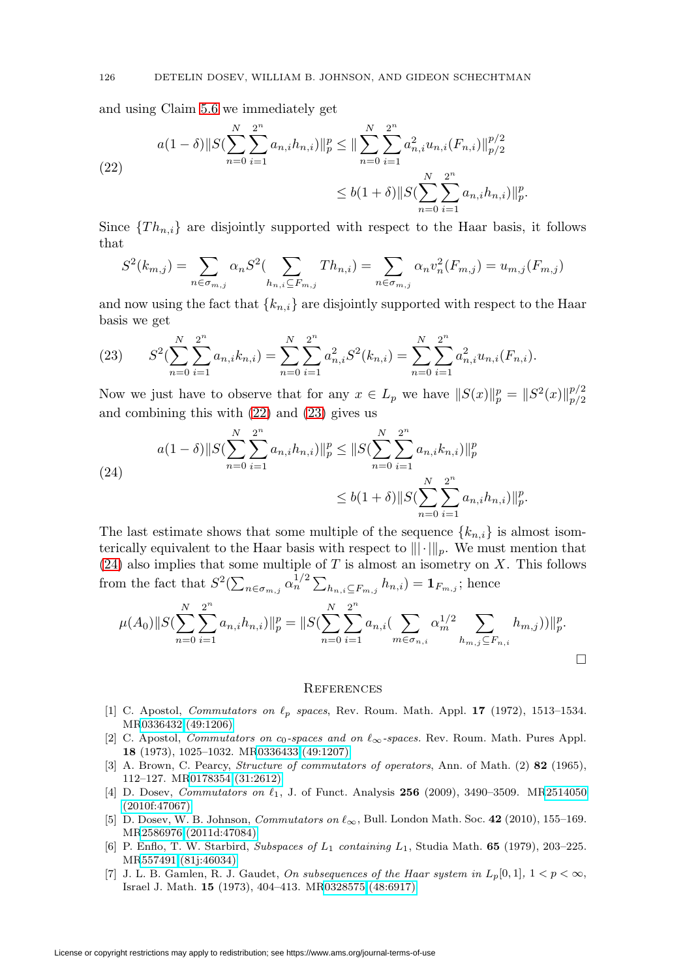and using Claim [5.6](#page-23-2) we immediately get

<span id="page-25-7"></span>(22) 
$$
a(1 - \delta) \|S(\sum_{n=0}^{N} \sum_{i=1}^{2^{n}} a_{n,i} h_{n,i})\|_{p}^{p} \leq \|\sum_{n=0}^{N} \sum_{i=1}^{2^{n}} a_{n,i}^{2} u_{n,i}(F_{n,i})\|_{p/2}^{p/2}
$$

$$
\leq b(1 + \delta) \|S(\sum_{n=0}^{N} \sum_{i=1}^{2^{n}} a_{n,i} h_{n,i})\|_{p}^{p}.
$$

Since  $\{Th_{n,i}\}\$ are disjointly supported with respect to the Haar basis, it follows that

$$
S^{2}(k_{m,j}) = \sum_{n \in \sigma_{m,j}} \alpha_n S^{2}(\sum_{h_{n,i} \subseteq F_{m,j}} Th_{n,i}) = \sum_{n \in \sigma_{m,j}} \alpha_n v_n^{2}(F_{m,j}) = u_{m,j}(F_{m,j})
$$

and now using the fact that  ${k_{n,i}}$  are disjointly supported with respect to the Haar basis we get

<span id="page-25-8"></span>(23) 
$$
S^{2}(\sum_{n=0}^{N} \sum_{i=1}^{2^{n}} a_{n,i} k_{n,i}) = \sum_{n=0}^{N} \sum_{i=1}^{2^{n}} a_{n,i}^{2} S^{2}(k_{n,i}) = \sum_{n=0}^{N} \sum_{i=1}^{2^{n}} a_{n,i}^{2} u_{n,i}(F_{n,i}).
$$

Now we just have to observe that for any  $x \in L_p$  we have  $||S(x)||_p^p = ||S^2(x)||_{p/2}^{p/2}$  $_{p/2}$ and combining this with [\(22\)](#page-25-7) and [\(23\)](#page-25-8) gives us

<span id="page-25-9"></span>(24)  

$$
a(1 - \delta) \|S(\sum_{n=0}^{N} \sum_{i=1}^{2^n} a_{n,i} h_{n,i})\|_{p}^{p} \leq \|S(\sum_{n=0}^{N} \sum_{i=1}^{2^n} a_{n,i} k_{n,i})\|_{p}^{p}
$$

$$
\leq b(1 + \delta) \|S(\sum_{n=0}^{N} \sum_{i=1}^{2^n} a_{n,i} h_{n,i})\|_{p}^{p}.
$$

The last estimate shows that some multiple of the sequence  $\{k_{n,i}\}\$ is almost isomterically equivalent to the Haar basis with respect to  $\|\cdot\|_p$ . We must mention that  $(24)$  also implies that some multiple of T is almost an isometry on X. This follows from the fact that  $S^2(\sum_{n \in \sigma_{m,j}} \alpha_n^{1/2} \sum_{h_{n,i} \subseteq F_{m,j}} h_{n,i}) = \mathbf{1}_{F_{m,j}}$ ; hence

$$
\mu(A_0) \|S(\sum_{n=0}^N \sum_{i=1}^{2^n} a_{n,i} h_{n,i})\|_p^p = \|S(\sum_{n=0}^N \sum_{i=1}^{2^n} a_{n,i} (\sum_{m \in \sigma_{n,i}} \alpha_m^{1/2} \sum_{h_{m,j} \subseteq F_{n,i}} h_{m,j}))\|_p^p.
$$

#### **REFERENCES**

- <span id="page-25-1"></span>[1] C. Apostol, *Commutators on*  $\ell_p$  *spaces*, Rev. Roum. Math. Appl. **17** (1972), 1513–1534. M[R0336432 \(49:1206\)](http://www.ams.org/mathscinet-getitem?mr=0336432)
- <span id="page-25-2"></span>[2] C. Apostol, *Commutators on c*<sub>0</sub>-spaces and on  $\ell_{\infty}$ -spaces. Rev. Roum. Math. Pures Appl. **18** (1973), 1025–1032. M[R0336433 \(49:1207\)](http://www.ams.org/mathscinet-getitem?mr=0336433)
- <span id="page-25-0"></span>[3] A. Brown, C. Pearcy, Structure of commutators of operators, Ann. of Math. (2) **82** (1965), 112–127. M[R0178354 \(31:2612\)](http://www.ams.org/mathscinet-getitem?mr=0178354)
- <span id="page-25-3"></span>[4] D. Dosev, *Commutators on*  $\ell_1$ , J. of Funct. Analysis **256** (2009), 3490–3509. M[R2514050](http://www.ams.org/mathscinet-getitem?mr=2514050) [\(2010f:47067\)](http://www.ams.org/mathscinet-getitem?mr=2514050)
- <span id="page-25-4"></span>[5] D. Dosev, W. B. Johnson, *Commutators on*  $\ell_{\infty}$ , Bull. London Math. Soc. **42** (2010), 155–169. M[R2586976 \(2011d:47084\)](http://www.ams.org/mathscinet-getitem?mr=2586976)
- <span id="page-25-5"></span>[6] P. Enflo, T. W. Starbird, Subspaces of L<sup>1</sup> containing L1, Studia Math. **65** (1979), 203–225. M[R557491 \(81j:46034\)](http://www.ams.org/mathscinet-getitem?mr=557491)
- <span id="page-25-6"></span>[7] J. L. B. Gamlen, R. J. Gaudet, On subsequences of the Haar system in  $L_p[0,1], 1 < p < \infty$ , Israel J. Math. **15** (1973), 404–413. M[R0328575 \(48:6917\)](http://www.ams.org/mathscinet-getitem?mr=0328575)